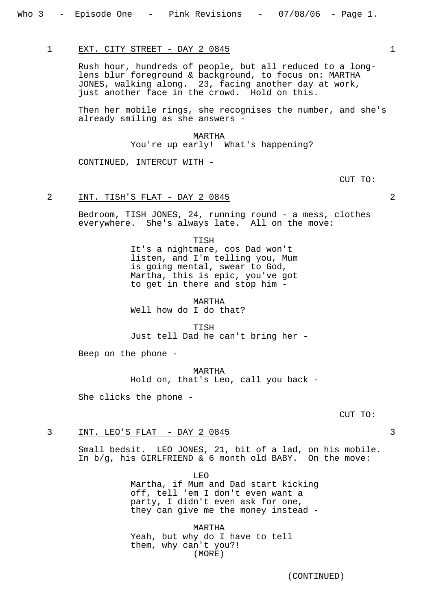#### 1 EXT. CITY STREET - DAY 2 0845

Rush hour, hundreds of people, but all reduced to a longlens blur foreground & background, to focus on: MARTHA JONES, walking along. 23, facing another day at work, just another face in the crowd. Hold on this.

Then her mobile rings, she recognises the number, and she's already smiling as she answers -

## MARTHA

You're up early! What's happening?

CONTINUED, INTERCUT WITH -

CUT TO:

## 2 INT. TISH'S FLAT - DAY 2 0845 2

Bedroom, TISH JONES, 24, running round - a mess, clothes everywhere. She's always late. All on the move:

> TISH It's a nightmare, cos Dad won't listen, and I'm telling you, Mum is going mental, swear to God, Martha, this is epic, you've got to get in there and stop him -

MARTHA Well how do I do that?

**TISH** Just tell Dad he can't bring her -

Beep on the phone -

MARTHA Hold on, that's Leo, call you back -

She clicks the phone -

#### CUT TO:

## 3 INT. LEO'S FLAT - DAY 2 0845 3

Small bedsit. LEO JONES, 21, bit of a lad, on his mobile. In b/g, his GIRLFRIEND & 6 month old BABY. On the move:

> LEO Martha, if Mum and Dad start kicking off, tell 'em I don't even want a party, I didn't even ask for one, they can give me the money instead -

MARTHA Yeah, but why do I have to tell them, why can't you?! (MORE)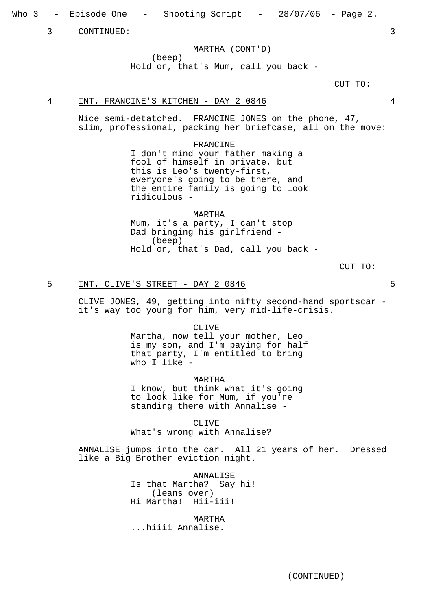Who 3 - Episode One - Shooting Script - 28/07/06 - Page 2.

3 CONTINUED: 3

MARTHA (CONT'D) (beep) Hold on, that's Mum, call you back -

 $C$ IIT TO:

## 4 INT. FRANCINE'S KITCHEN - DAY 2 0846 4

Nice semi-detatched. FRANCINE JONES on the phone, 47, slim, professional, packing her briefcase, all on the move:

> FRANCINE I don't mind your father making a fool of himself in private, but this is Leo's twenty-first, everyone's going to be there, and the entire family is going to look ridiculous -

MARTHA Mum, it's a party, I can't stop Dad bringing his girlfriend - (beep) Hold on, that's Dad, call you back -

CUT TO:

## 5 INT. CLIVE'S STREET - DAY 2 0846 5

CLIVE JONES, 49, getting into nifty second-hand sportscar it's way too young for him, very mid-life-crisis.

CLIVE

Martha, now tell your mother, Leo is my son, and I'm paying for half that party, I'm entitled to bring who I like -

MARTHA

I know, but think what it's going to look like for Mum, if you're standing there with Annalise -

CLIVE What's wrong with Annalise?

ANNALISE jumps into the car. All 21 years of her. Dressed like a Big Brother eviction night.

> ANNALISE Is that Martha? Say hi! (leans over) Hi Martha! Hii-iii!

MARTHA ...hiiii Annalise.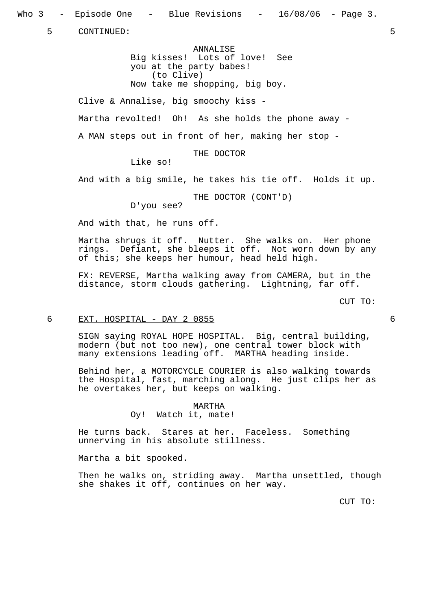Who 3 - Episode One - Blue Revisions - 16/08/06 - Page 3.

5 CONTINUED: 5

ANNALISE Big kisses! Lots of love! See you at the party babes! (to Clive) Now take me shopping, big boy.

Clive & Annalise, big smoochy kiss - Martha revolted! Oh! As she holds the phone away - A MAN steps out in front of her, making her stop -

THE DOCTOR

Like so!

And with a big smile, he takes his tie off. Holds it up.

THE DOCTOR (CONT'D)

D'you see?

And with that, he runs off.

Martha shrugs it off. Nutter. She walks on. Her phone rings. Defiant, she bleeps it off. Not worn down by any of this; she keeps her humour, head held high.

FX: REVERSE, Martha walking away from CAMERA, but in the distance, storm clouds gathering. Lightning, far off.

CUT TO:

### 6 EXT. HOSPITAL - DAY 2 0855 6

SIGN saying ROYAL HOPE HOSPITAL. Big, central building, modern (but not too new), one central tower block with many extensions leading off. MARTHA heading inside.

Behind her, a MOTORCYCLE COURIER is also walking towards the Hospital, fast, marching along. He just clips her as he overtakes her, but keeps on walking.

> MARTHA Oy! Watch it, mate!

He turns back. Stares at her. Faceless. Something unnerving in his absolute stillness.

Martha a bit spooked.

Then he walks on, striding away. Martha unsettled, though she shakes it off, continues on her way.

CUT TO: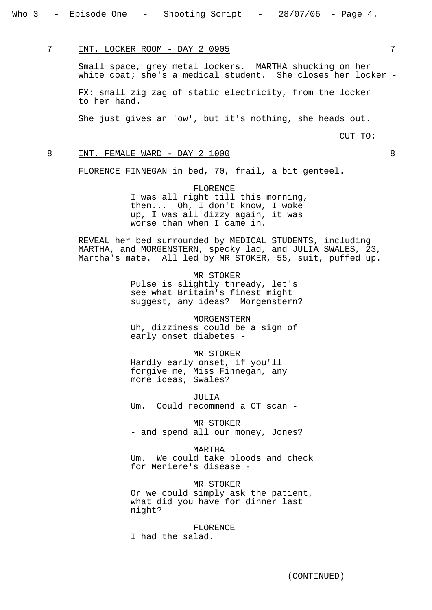7 INT. LOCKER ROOM - DAY 2 0905 7

Small space, grey metal lockers. MARTHA shucking on her white coat; she's a medical student. She closes her locker -

FX: small zig zag of static electricity, from the locker to her hand.

She just gives an 'ow', but it's nothing, she heads out.

CUT TO:

#### 8 INT. FEMALE WARD - DAY 2 1000 8 8

FLORENCE FINNEGAN in bed, 70, frail, a bit genteel.

FLORENCE I was all right till this morning, then... Oh, I don't know, I woke up, I was all dizzy again, it was worse than when I came in.

REVEAL her bed surrounded by MEDICAL STUDENTS, including MARTHA, and MORGENSTERN, specky lad, and JULIA SWALES, 23, Martha's mate. All led by MR STOKER, 55, suit, puffed up.

> MR STOKER Pulse is slightly thready, let's see what Britain's finest might suggest, any ideas? Morgenstern?

MORGENSTERN Uh, dizziness could be a sign of early onset diabetes -

MR STOKER Hardly early onset, if you'll forgive me, Miss Finnegan, any more ideas, Swales?

JULIA Um. Could recommend a CT scan -

MR STOKER - and spend all our money, Jones?

MARTHA Um. We could take bloods and check for Meniere's disease -

MR STOKER Or we could simply ask the patient, what did you have for dinner last night?

FLORENCE I had the salad.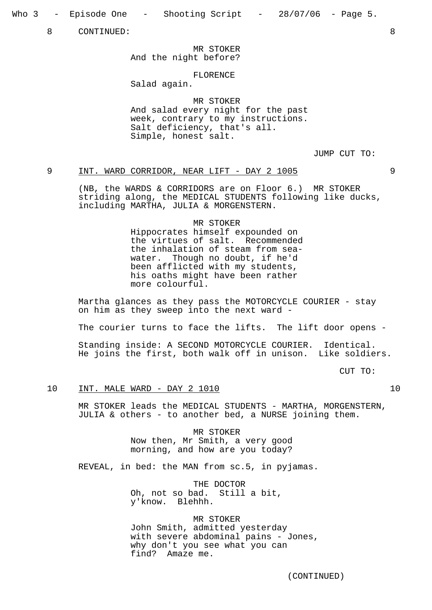Who 3 - Episode One - Shooting Script - 28/07/06 - Page 5.

8 CONTINUED: 8

MR STOKER And the night before?

## FLORENCE

Salad again.

MR STOKER And salad every night for the past week, contrary to my instructions. Salt deficiency, that's all. Simple, honest salt.

JUMP CUT TO:

## 9 INT. WARD CORRIDOR, NEAR LIFT - DAY 2 1005

(NB, the WARDS & CORRIDORS are on Floor 6.) MR STOKER striding along, the MEDICAL STUDENTS following like ducks, including MARTHA, JULIA & MORGENSTERN.

#### MR STOKER

Hippocrates himself expounded on the virtues of salt. Recommended the inhalation of steam from seawater. Though no doubt, if he'd been afflicted with my students, his oaths might have been rather more colourful.

Martha glances as they pass the MOTORCYCLE COURIER - stay on him as they sweep into the next ward -

The courier turns to face the lifts. The lift door opens -

Standing inside: A SECOND MOTORCYCLE COURIER. Identical. He joins the first, both walk off in unison. Like soldiers.

CUT TO:

## 10 INT. MALE WARD - DAY 2 1010 10

MR STOKER leads the MEDICAL STUDENTS - MARTHA, MORGENSTERN, JULIA & others - to another bed, a NURSE joining them.

> MR STOKER Now then, Mr Smith, a very good morning, and how are you today?

REVEAL, in bed: the MAN from sc.5, in pyjamas.

THE DOCTOR Oh, not so bad. Still a bit, y'know. Blehhh.

MR STOKER John Smith, admitted yesterday with severe abdominal pains - Jones, why don't you see what you can<br>find? Amaze me. Amaze me.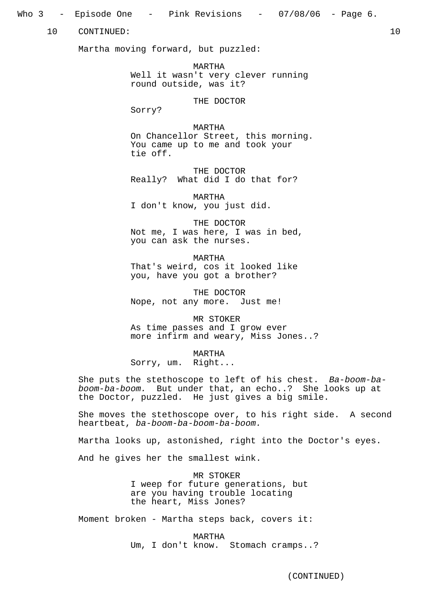## Who 3 - Episode One - Pink Revisions - 07/08/06 - Page 6.

10 CONTINUED: 10

Martha moving forward, but puzzled:

MARTHA Well it wasn't very clever running round outside, was it?

THE DOCTOR

Sorry?

#### MARTHA

On Chancellor Street, this morning. You came up to me and took your tie off.

THE DOCTOR Really? What did I do that for?

MARTHA I don't know, you just did.

THE DOCTOR Not me, I was here, I was in bed, you can ask the nurses.

MARTHA That's weird, cos it looked like you, have you got a brother?

THE DOCTOR Nope, not any more. Just me!

MR STOKER As time passes and I grow ever more infirm and weary, Miss Jones..?

MARTHA

Sorry, um. Right...

She puts the stethoscope to left of his chest. Ba-boom-baboom-ba-boom. But under that, an echo..? She looks up at the Doctor, puzzled. He just gives a big smile.

She moves the stethoscope over, to his right side. A second heartbeat, ba-boom-ba-boom-ba-boom.

Martha looks up, astonished, right into the Doctor's eyes.

And he gives her the smallest wink.

MR STOKER I weep for future generations, but are you having trouble locating the heart, Miss Jones?

Moment broken - Martha steps back, covers it:

MARTHA Um, I don't know. Stomach cramps..?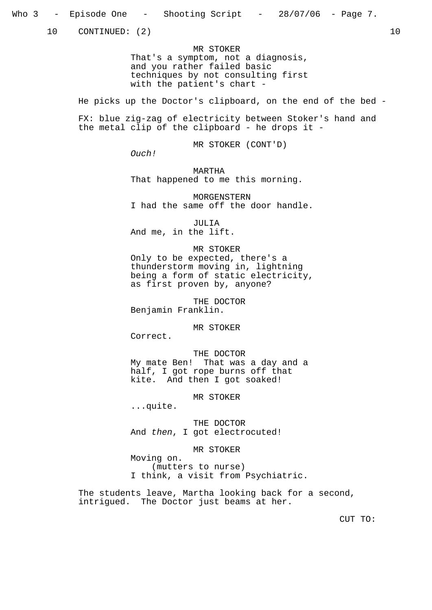10 CONTINUED: (2) 10

MR STOKER That's a symptom, not a diagnosis, and you rather failed basic techniques by not consulting first with the patient's chart -

He picks up the Doctor's clipboard, on the end of the bed -

FX: blue zig-zag of electricity between Stoker's hand and the metal clip of the clipboard - he drops it -

MR STOKER (CONT'D)

Ouch!

MARTHA That happened to me this morning.

MORGENSTERN I had the same off the door handle.

JULIA And me, in the lift.

MR STOKER Only to be expected, there's a thunderstorm moving in, lightning being a form of static electricity, as first proven by, anyone?

THE DOCTOR Benjamin Franklin.

MR STOKER

Correct.

THE DOCTOR My mate Ben! That was a day and a half, I got rope burns off that kite. And then I got soaked!

MR STOKER

...quite.

THE DOCTOR And then, I got electrocuted!

MR STOKER

Moving on. (mutters to nurse) I think, a visit from Psychiatric.

The students leave, Martha looking back for a second, intrigued. The Doctor just beams at her.

CUT TO: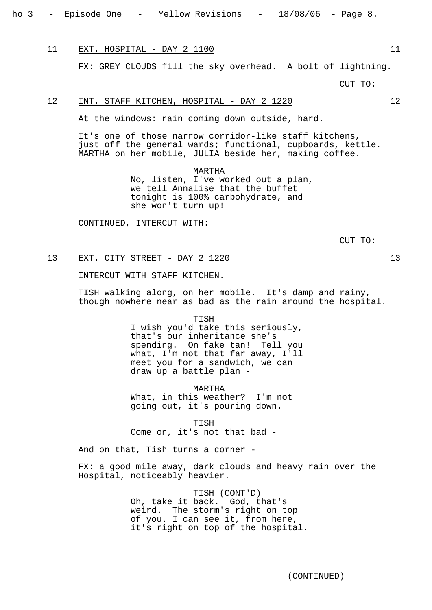11 EXT. HOSPITAL - DAY 2 1100

FX: GREY CLOUDS fill the sky overhead. A bolt of lightning.

 $C$ IIT TO:

## 12 INT. STAFF KITCHEN, HOSPITAL - DAY 2 1220 12

At the windows: rain coming down outside, hard.

It's one of those narrow corridor-like staff kitchens, just off the general wards; functional, cupboards, kettle. MARTHA on her mobile, JULIA beside her, making coffee.

> MARTHA No, listen, I've worked out a plan, we tell Annalise that the buffet tonight is 100% carbohydrate, and she won't turn up!

CONTINUED, INTERCUT WITH:

CUT TO:

## 13 EXT. CITY STREET - DAY 2 1220 13

INTERCUT WITH STAFF KITCHEN.

TISH walking along, on her mobile. It's damp and rainy, though nowhere near as bad as the rain around the hospital.

> TISH I wish you'd take this seriously, that's our inheritance she's spending. On fake tan! Tell you what, I'm not that far away, I'll meet you for a sandwich, we can draw up a battle plan -

MARTHA What, in this weather? I'm not going out, it's pouring down.

TISH Come on, it's not that bad -

And on that, Tish turns a corner -

FX: a good mile away, dark clouds and heavy rain over the Hospital, noticeably heavier.

> TISH (CONT'D) Oh, take it back. God, that's weird. The storm's right on top of you. I can see it, from here, it's right on top of the hospital.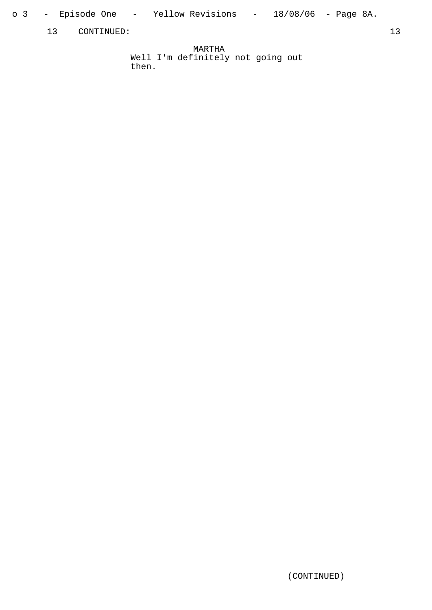- o 3 – Episode One – Yellow Revisions – 18/08/06 Page 8A.
	- 13 CONTINUED: 13

MARTHA Well I'm definitely not going out then.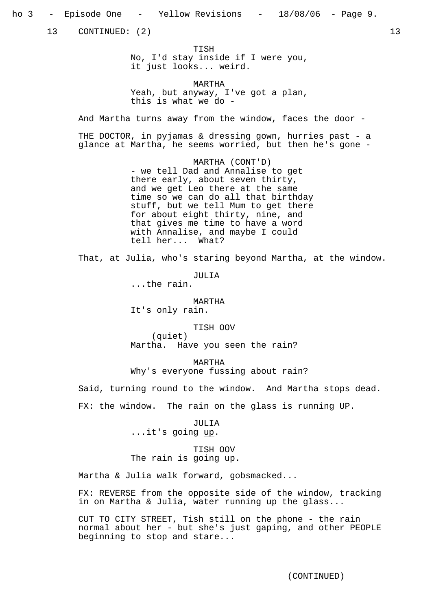13 CONTINUED: (2) 13

TISH No, I'd stay inside if I were you, it just looks... weird.

MARTHA Yeah, but anyway, I've got a plan, this is what we do -

And Martha turns away from the window, faces the door -

THE DOCTOR, in pyjamas & dressing gown, hurries past - a glance at Martha, he seems worried, but then he's gone -

> MARTHA (CONT'D) - we tell Dad and Annalise to get there early, about seven thirty, and we get Leo there at the same time so we can do all that birthday stuff, but we tell Mum to get there for about eight thirty, nine, and that gives me time to have a word with Annalise, and maybe I could tell her... What?

That, at Julia, who's staring beyond Martha, at the window.

JULIA

...the rain.

MARTHA It's only rain.

TISH OOV (quiet) Martha. Have you seen the rain?

MARTHA Why's everyone fussing about rain?

Said, turning round to the window. And Martha stops dead. FX: the window. The rain on the glass is running UP.

> JULIA ...it's going <u>up</u>.

TISH OOV The rain is going up.

Martha & Julia walk forward, gobsmacked...

FX: REVERSE from the opposite side of the window, tracking in on Martha & Julia, water running up the glass...

CUT TO CITY STREET, Tish still on the phone - the rain normal about her - but she's just gaping, and other PEOPLE beginning to stop and stare...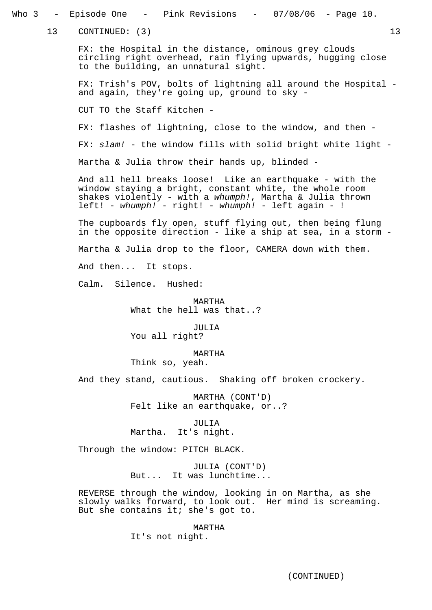| 3 - Episode One - Pink Revisions - 07/08/06 - Page 10.                                                                                                       |
|--------------------------------------------------------------------------------------------------------------------------------------------------------------|
| 13 CONTINUED: (3)                                                                                                                                            |
| FX: the Hospital in the distance, ominous grey clouds<br>circling right overhead, rain flying upwards, hugging close<br>to the building, an unnatural sight. |
|                                                                                                                                                              |
|                                                                                                                                                              |
|                                                                                                                                                              |
|                                                                                                                                                              |
|                                                                                                                                                              |
|                                                                                                                                                              |
|                                                                                                                                                              |
|                                                                                                                                                              |
|                                                                                                                                                              |
|                                                                                                                                                              |
|                                                                                                                                                              |
|                                                                                                                                                              |
|                                                                                                                                                              |
|                                                                                                                                                              |
|                                                                                                                                                              |
|                                                                                                                                                              |
|                                                                                                                                                              |
|                                                                                                                                                              |
|                                                                                                                                                              |
| And they stand, cautious. Shaking off broken crockery.                                                                                                       |
| MARTHA (CONT'D)<br>Felt like an earthquake, or?<br>JULIA<br>Martha. It's night.                                                                              |
|                                                                                                                                                              |
|                                                                                                                                                              |
| JULIA (CONT'D)<br>But It was lunchtime                                                                                                                       |

REVERSE through the window, looking in on Martha, as she slowly walks forward, to look out. Her mind is screaming. But she contains it; she's got to.

MARTHA

It's not night.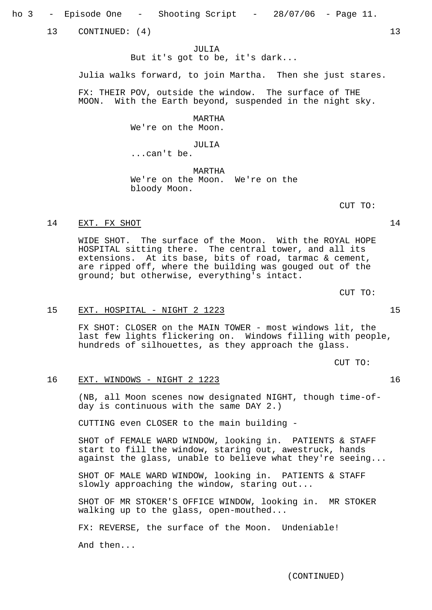ho 3 - Episode One - Shooting Script - 28/07/06 - Page 11.

13 CONTINUED: (4) 13

JULIA But it's got to be, it's dark...

Julia walks forward, to join Martha. Then she just stares.

FX: THEIR POV, outside the window. The surface of THE MOON. With the Earth beyond, suspended in the night sky.

MARTHA

We're on the Moon.

JULIA

...can't be.

MARTHA

We're on the Moon. We're on the bloody Moon.

CUT TO:

#### 14 EXT. FX SHOT 14

WIDE SHOT. The surface of the Moon. With the ROYAL HOPE HOSPITAL sitting there. The central tower, and all its extensions. At its base, bits of road, tarmac & cement, are ripped off, where the building was gouged out of the ground; but otherwise, everything's intact.

CUT TO:

## 15 EXT. HOSPITAL - NIGHT 2 1223 15

FX SHOT: CLOSER on the MAIN TOWER - most windows lit, the last few lights flickering on. Windows filling with people, hundreds of silhouettes, as they approach the glass.

CUT TO:

#### 16 EXT. WINDOWS - NIGHT 2 1223 16

(NB, all Moon scenes now designated NIGHT, though time-ofday is continuous with the same DAY 2.)

CUTTING even CLOSER to the main building -

SHOT of FEMALE WARD WINDOW, looking in. PATIENTS & STAFF start to fill the window, staring out, awestruck, hands against the glass, unable to believe what they're seeing...

SHOT OF MALE WARD WINDOW, looking in. PATIENTS & STAFF slowly approaching the window, staring out...

SHOT OF MR STOKER'S OFFICE WINDOW, looking in. MR STOKER walking up to the glass, open-mouthed...

FX: REVERSE, the surface of the Moon. Undeniable!

And then...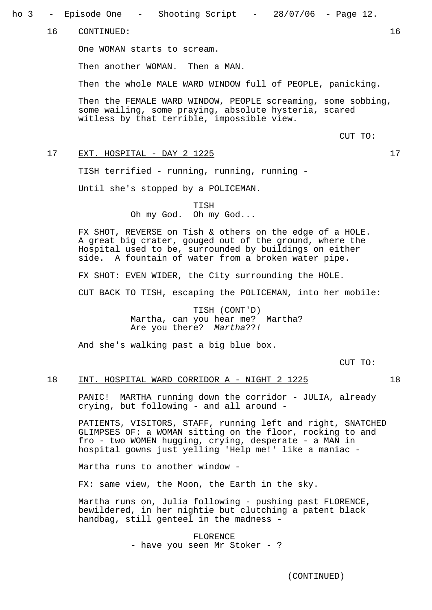ho 3 - Episode One - Shooting Script - 28/07/06 - Page 12.

16 CONTINUED: 16

One WOMAN starts to scream.

Then another WOMAN. Then a MAN.

Then the whole MALE WARD WINDOW full of PEOPLE, panicking.

Then the FEMALE WARD WINDOW, PEOPLE screaming, some sobbing, some wailing, some praying, absolute hysteria, scared witless by that terrible, impossible view.

CUT TO:

## 17 EXT. HOSPITAL - DAY 2 1225

TISH terrified - running, running, running -

Until she's stopped by a POLICEMAN.

TISH Oh my God. Oh my God...

FX SHOT, REVERSE on Tish & others on the edge of a HOLE. A great big crater, gouged out of the ground, where the Hospital used to be, surrounded by buildings on either side. A fountain of water from a broken water pipe.

FX SHOT: EVEN WIDER, the City surrounding the HOLE.

CUT BACK TO TISH, escaping the POLICEMAN, into her mobile:

TISH (CONT'D) Martha, can you hear me? Martha? Are you there? Martha??!

And she's walking past a big blue box.

CUT TO:

#### 18 INT. HOSPITAL WARD CORRIDOR A - NIGHT 2 1225 18

PANIC! MARTHA running down the corridor - JULIA, already crying, but following - and all around -

PATIENTS, VISITORS, STAFF, running left and right, SNATCHED GLIMPSES OF: a WOMAN sitting on the floor, rocking to and fro - two WOMEN hugging, crying, desperate - a MAN in hospital gowns just yelling 'Help me!' like a maniac -

Martha runs to another window -

FX: same view, the Moon, the Earth in the sky.

Martha runs on, Julia following - pushing past FLORENCE, bewildered, in her nightie but clutching a patent black handbag, still genteel in the madness -

> FLORENCE - have you seen Mr Stoker - ?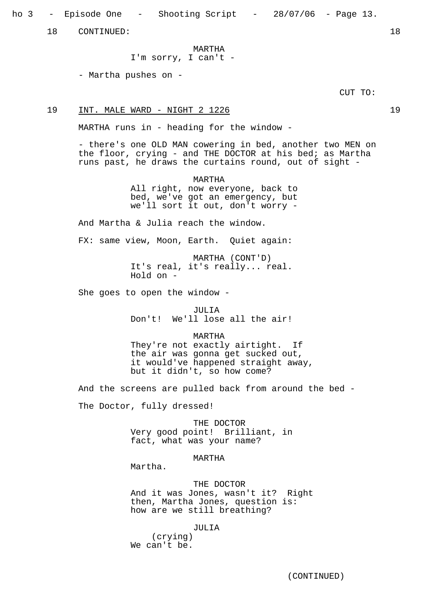ho 3 - Episode One - Shooting Script - 28/07/06 - Page 13.

18 CONTINUED: 18

MARTHA

I'm sorry, I can't -

- Martha pushes on -

CUT TO:

19 INT. MALE WARD - NIGHT 2 1226

MARTHA runs in - heading for the window -

- there's one OLD MAN cowering in bed, another two MEN on the floor, crying - and THE DOCTOR at his bed; as Martha runs past, he draws the curtains round, out of sight -

> MARTHA All right, now everyone, back to bed, we've got an emergency, but we'll sort it out, don't worry -

And Martha & Julia reach the window.

FX: same view, Moon, Earth. Quiet again:

MARTHA (CONT'D) It's real, it's really... real. Hold on -

She goes to open the window -

JULIA

Don't! We'll lose all the air!

MARTHA

They're not exactly airtight. If the air was gonna get sucked out, it would've happened straight away, but it didn't, so how come?

And the screens are pulled back from around the bed -

The Doctor, fully dressed!

THE DOCTOR Very good point! Brilliant, in fact, what was your name?

MARTHA

Martha.

THE DOCTOR And it was Jones, wasn't it? Right then, Martha Jones, question is: how are we still breathing?

JULIA

(crying) We can't be.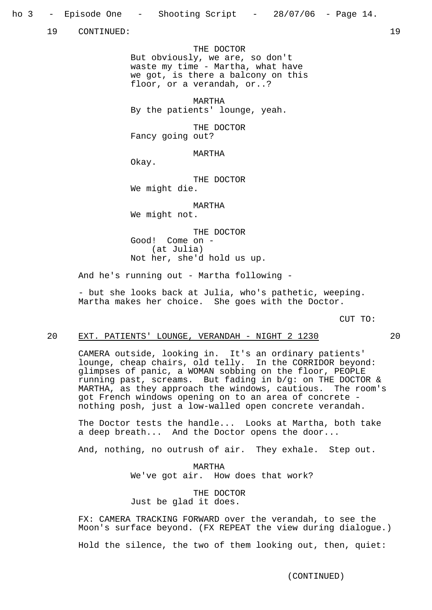19 CONTINUED: 19

THE DOCTOR But obviously, we are, so don't waste my time - Martha, what have we got, is there a balcony on this floor, or a verandah, or..?

MARTHA By the patients' lounge, yeah.

THE DOCTOR Fancy going out?

MARTHA

Okay.

THE DOCTOR We might die.

MARTHA

We might not.

THE DOCTOR Good! Come on - (at Julia) Not her, she'd hold us up.

And he's running out - Martha following -

- but she looks back at Julia, who's pathetic, weeping. Martha makes her choice. She goes with the Doctor.

CUT TO:

#### 20 EXT. PATIENTS' LOUNGE, VERANDAH - NIGHT 2 1230 20

CAMERA outside, looking in. It's an ordinary patients' lounge, cheap chairs, old telly. In the CORRIDOR beyond: glimpses of panic, a WOMAN sobbing on the floor, PEOPLE running past, screams. But fading in b/g: on THE DOCTOR & MARTHA, as they approach the windows, cautious. The room's got French windows opening on to an area of concrete nothing posh, just a low-walled open concrete verandah.

The Doctor tests the handle... Looks at Martha, both take a deep breath... And the Doctor opens the door...

And, nothing, no outrush of air. They exhale. Step out.

MARTHA We've got air. How does that work?

THE DOCTOR Just be glad it does.

FX: CAMERA TRACKING FORWARD over the verandah, to see the Moon's surface beyond. (FX REPEAT the view during dialogue.)

Hold the silence, the two of them looking out, then, quiet: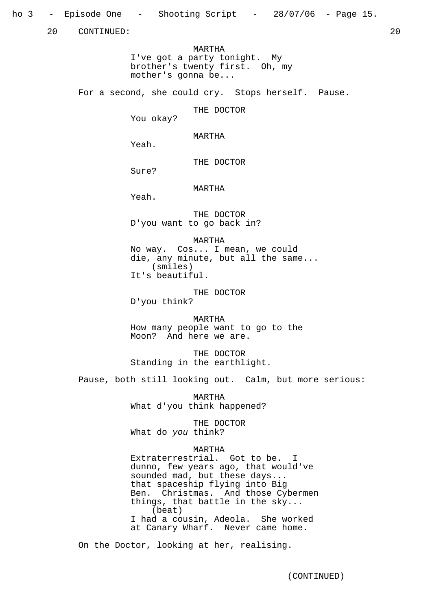ho 3 - Episode One - Shooting Script - 28/07/06 - Page 15.

20 CONTINUED: 20

MARTHA I've got a party tonight. My brother's twenty first. Oh, my mother's gonna be...

For a second, she could cry. Stops herself. Pause.

THE DOCTOR

You okay?

MARTHA

Yeah.

THE DOCTOR

Sure?

MARTHA

Yeah.

THE DOCTOR D'you want to go back in?

MARTHA

No way. Cos... I mean, we could die, any minute, but all the same... (smiles) It's beautiful.

THE DOCTOR D'you think?

MARTHA How many people want to go to the Moon? And here we are.

THE DOCTOR Standing in the earthlight.

Pause, both still looking out. Calm, but more serious:

MARTHA What d'you think happened?

THE DOCTOR What do you think?

## MARTHA

Extraterrestrial. Got to be. I dunno, few years ago, that would've sounded mad, but these days... that spaceship flying into Big Ben. Christmas. And those Cybermen things, that battle in the sky... (beat) I had a cousin, Adeola. She worked at Canary Wharf. Never came home.

On the Doctor, looking at her, realising.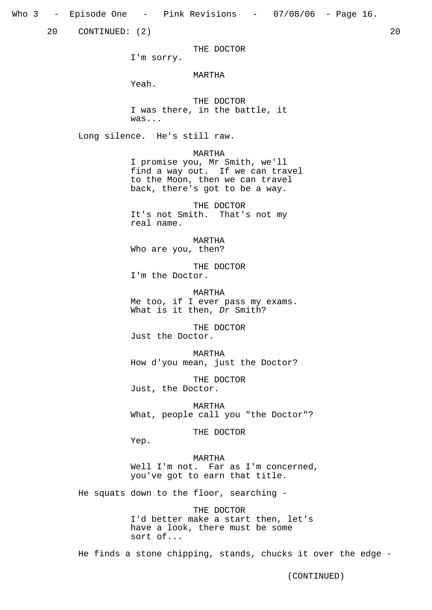Who 3 – Episode One – Pink Revisions – 07/08/06 – Page 16.

20 CONTINUED: (2) 20

THE DOCTOR

I'm sorry.

MARTHA

Yeah.

THE DOCTOR I was there, in the battle, it was...

Long silence. He's still raw.

MARTHA I promise you, Mr Smith, we'll find a way out. If we can travel to the Moon, then we can travel back, there's got to be a way.

THE DOCTOR It's not Smith. That's not my real name.

MARTHA Who are you, then?

THE DOCTOR I'm the Doctor.

MARTHA

Me too, if I ever pass my exams. What is it then, Dr Smith?

THE DOCTOR Just the Doctor.

MARTHA How d'you mean, just the Doctor?

THE DOCTOR Just, the Doctor.

MARTHA What, people call you "the Doctor"?

THE DOCTOR

Yep.

MARTHA

Well I'm not. Far as I'm concerned, you've got to earn that title.

He squats down to the floor, searching -

THE DOCTOR I'd better make a start then, let's have a look, there must be some sort of...

He finds a stone chipping, stands, chucks it over the edge -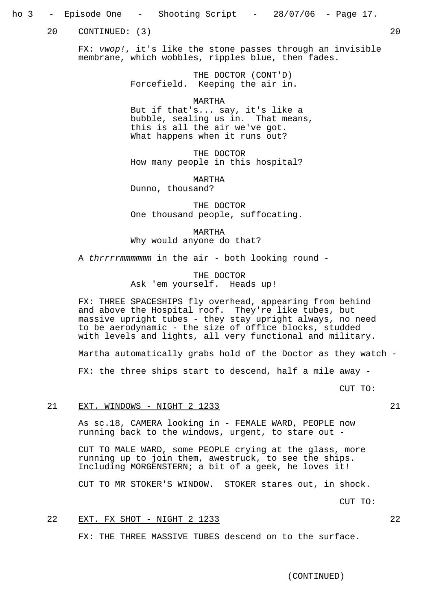## ho 3 - Episode One - Shooting Script - 28/07/06 - Page 17.

20 CONTINUED: (3) 20

FX: vwop!, it's like the stone passes through an invisible membrane, which wobbles, ripples blue, then fades.

> THE DOCTOR (CONT'D) Forcefield. Keeping the air in.

#### MARTHA

But if that's... say, it's like a bubble, sealing us in. That means, this is all the air we've got. What happens when it runs out?

THE DOCTOR How many people in this hospital?

MARTHA Dunno, thousand?

THE DOCTOR One thousand people, suffocating.

MARTHA Why would anyone do that?

A thrrrrmmmmmm in the air - both looking round -

THE DOCTOR Ask 'em yourself. Heads up!

FX: THREE SPACESHIPS fly overhead, appearing from behind and above the Hospital roof. They're like tubes, but massive upright tubes - they stay upright always, no need to be aerodynamic - the size of office blocks, studded with levels and lights, all very functional and military.

Martha automatically grabs hold of the Doctor as they watch -

FX: the three ships start to descend, half a mile away -

CUT TO:

#### 21 EXT. WINDOWS - NIGHT 2 1233 21

As sc.18, CAMERA looking in - FEMALE WARD, PEOPLE now running back to the windows, urgent, to stare out -

CUT TO MALE WARD, some PEOPLE crying at the glass, more running up to join them, awestruck, to see the ships. Including MORGENSTERN; a bit of a geek, he loves it!

CUT TO MR STOKER'S WINDOW. STOKER stares out, in shock.

CUT TO:

## 22 EXT. FX SHOT - NIGHT 2 1233 22

FX: THE THREE MASSIVE TUBES descend on to the surface.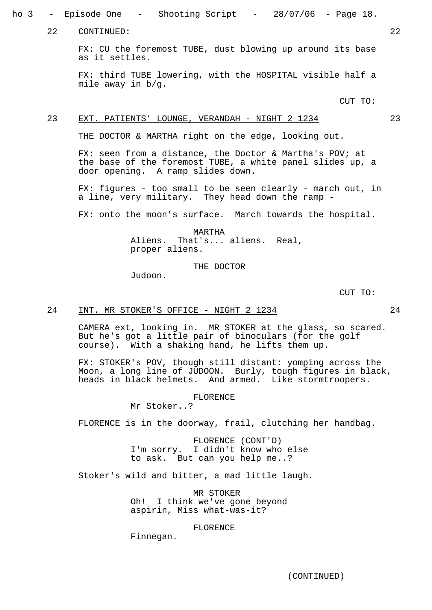ho 3 - Episode One - Shooting Script - 28/07/06 - Page 18.

22 CONTINUED: 22

FX: CU the foremost TUBE, dust blowing up around its base as it settles.

FX: third TUBE lowering, with the HOSPITAL visible half a mile away in b/g.

CUT TO:

#### 23 EXT. PATIENTS' LOUNGE, VERANDAH - NIGHT 2 1234 23

THE DOCTOR & MARTHA right on the edge, looking out.

FX: seen from a distance, the Doctor & Martha's POV; at the base of the foremost TUBE, a white panel slides up, a door opening. A ramp slides down.

FX: figures - too small to be seen clearly - march out, in a line, very military. They head down the ramp -

FX: onto the moon's surface. March towards the hospital.

MARTHA Aliens. That's... aliens. Real, proper aliens.

THE DOCTOR

Judoon.

CUT TO:

#### 24 INT. MR STOKER'S OFFICE - NIGHT 2 1234 24

CAMERA ext, looking in. MR STOKER at the glass, so scared. But he's got a little pair of binoculars (for the golf course). With a shaking hand, he lifts them up.

FX: STOKER's POV, though still distant: yomping across the Moon, a long line of JUDOON. Burly, tough figures in black, heads in black helmets. And armed. Like stormtroopers.

FLORENCE

Mr Stoker..?

FLORENCE is in the doorway, frail, clutching her handbag.

FLORENCE (CONT'D) I'm sorry. I didn't know who else to ask. But can you help me..?

Stoker's wild and bitter, a mad little laugh.

MR STOKER Oh! I think we've gone beyond aspirin, Miss what-was-it?

#### FLORENCE

Finnegan.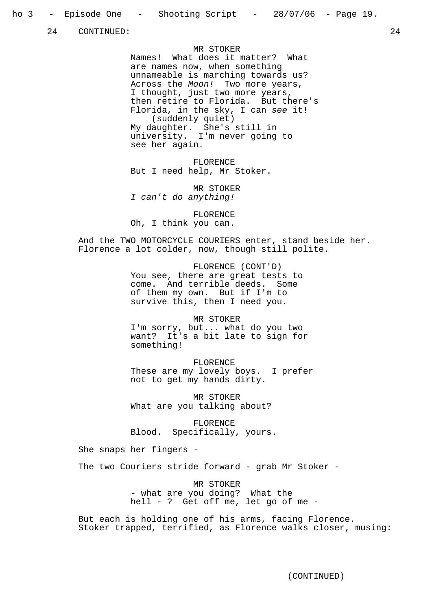24 CONTINUED: 24

#### MR STOKER

Names! What does it matter? What are names now, when something unnameable is marching towards us? Across the Moon! Two more years, I thought, just two more years, then retire to Florida. But there's Florida, in the sky, I can see it! (suddenly quiet) My daughter. She's still in university. I'm never going to see her again.

FLORENCE But I need help, Mr Stoker.

MR STOKER I can't do anything!

FLORENCE Oh, I think you can.

And the TWO MOTORCYCLE COURIERS enter, stand beside her. Florence a lot colder, now, though still polite.

> FLORENCE (CONT'D) You see, there are great tests to come. And terrible deeds. Some of them my own. But if I'm to survive this, then I need you.

MR STOKER I'm sorry, but... what do you two want? It's a bit late to sign for something!

FLORENCE These are my lovely boys. I prefer not to get my hands dirty.

MR STOKER What are you talking about?

FLORENCE Blood. Specifically, yours.

She snaps her fingers -

The two Couriers stride forward - grab Mr Stoker -

MR STOKER - what are you doing? What the hell - ? Get off me, let go of me -

But each is holding one of his arms, facing Florence. Stoker trapped, terrified, as Florence walks closer, musing: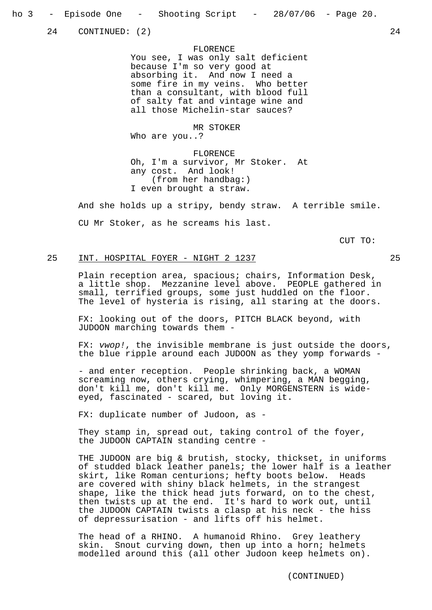24 CONTINUED: (2) 24

FLORENCE You see, I was only salt deficient because I'm so very good at absorbing it. And now I need a some fire in my veins. Who better than a consultant, with blood full of salty fat and vintage wine and all those Michelin-star sauces?

MR STOKER Who are you..?

FLORENCE Oh, I'm a survivor, Mr Stoker. At any cost. And look! (from her handbag:) I even brought a straw.

And she holds up a stripy, bendy straw. A terrible smile.

CU Mr Stoker, as he screams his last.

CUT TO:

## 25 INT. HOSPITAL FOYER - NIGHT 2 1237 25

Plain reception area, spacious; chairs, Information Desk, a little shop. Mezzanine level above. PEOPLE gathered in small, terrified groups, some just huddled on the floor. The level of hysteria is rising, all staring at the doors.

FX: looking out of the doors, PITCH BLACK beyond, with JUDOON marching towards them -

FX: vwop!, the invisible membrane is just outside the doors, the blue ripple around each JUDOON as they yomp forwards -

- and enter reception. People shrinking back, a WOMAN screaming now, others crying, whimpering, a MAN begging, don't kill me, don't kill me. Only MORGENSTERN is wideeyed, fascinated - scared, but loving it.

FX: duplicate number of Judoon, as -

They stamp in, spread out, taking control of the foyer, the JUDOON CAPTAIN standing centre -

THE JUDOON are big & brutish, stocky, thickset, in uniforms of studded black leather panels; the lower half is a leather skirt, like Roman centurions; hefty boots below. Heads are covered with shiny black helmets, in the strangest shape, like the thick head juts forward, on to the chest, then twists up at the end. It's hard to work out, until the JUDOON CAPTAIN twists a clasp at his neck - the hiss of depressurisation - and lifts off his helmet.

The head of a RHINO. A humanoid Rhino. Grey leathery skin. Snout curving down, then up into a horn; helmets modelled around this (all other Judoon keep helmets on).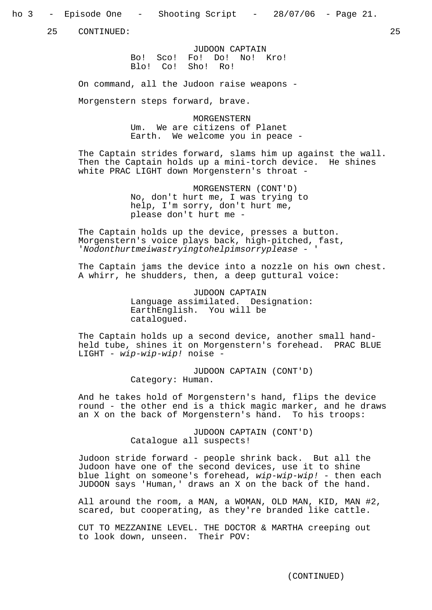ho 3 - Episode One - Shooting Script - 28/07/06 - Page 21.

25 CONTINUED: 25

JUDOON CAPTAIN Bo! Sco! Fo! Do! No! Kro! Blo! Co! Sho! Ro!

On command, all the Judoon raise weapons -

Morgenstern steps forward, brave.

MORGENSTERN Um. We are citizens of Planet Earth. We welcome you in peace -

The Captain strides forward, slams him up against the wall. Then the Captain holds up a mini-torch device. He shines white PRAC LIGHT down Morgenstern's throat -

> MORGENSTERN (CONT'D) No, don't hurt me, I was trying to help, I'm sorry, don't hurt me, please don't hurt me -

The Captain holds up the device, presses a button. Morgenstern's voice plays back, high-pitched, fast, 'Nodonthurtmeiwastryingtohelpimsorryplease - '

The Captain jams the device into a nozzle on his own chest. A whirr, he shudders, then, a deep guttural voice:

> JUDOON CAPTAIN Language assimilated. Designation: EarthEnglish. You will be catalogued.

The Captain holds up a second device, another small handheld tube, shines it on Morgenstern's forehead. PRAC BLUE LIGHT - wip-wip-wip! noise -

> JUDOON CAPTAIN (CONT'D) Category: Human.

And he takes hold of Morgenstern's hand, flips the device round - the other end is a thick magic marker, and he draws an X on the back of Morgenstern's hand. To his troops:

> JUDOON CAPTAIN (CONT'D) Catalogue all suspects!

Judoon stride forward - people shrink back. But all the Judoon have one of the second devices, use it to shine blue light on someone's forehead,  $wip-wip$ - $wip$ ! - then each JUDOON says 'Human,' draws an X on the back of the hand.

All around the room, a MAN, a WOMAN, OLD MAN, KID, MAN #2, scared, but cooperating, as they're branded like cattle.

CUT TO MEZZANINE LEVEL. THE DOCTOR & MARTHA creeping out to look down, unseen. Their POV: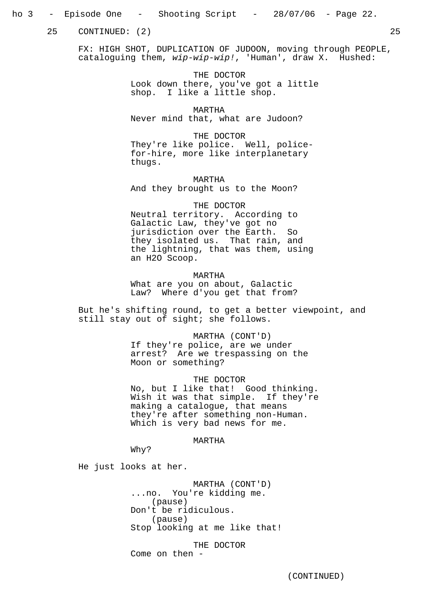## ho 3 - Episode One - Shooting Script - 28/07/06 - Page 22.

25 CONTINUED: (2) 25

FX: HIGH SHOT, DUPLICATION OF JUDOON, moving through PEOPLE, cataloguing them, wip-wip-wip!, 'Human', draw X. Hushed:

> THE DOCTOR Look down there, you've got a little shop. I like a little shop.

MARTHA Never mind that, what are Judoon?

THE DOCTOR They're like police. Well, policefor-hire, more like interplanetary thugs.

MARTHA And they brought us to the Moon?

THE DOCTOR Neutral territory. According to Galactic Law, they've got no jurisdiction over the Earth. So they isolated us. That rain, and the lightning, that was them, using an H2O Scoop.

MARTHA What are you on about, Galactic Law? Where d'you get that from?

But he's shifting round, to get a better viewpoint, and still stay out of sight; she follows.

> MARTHA (CONT'D) If they're police, are we under arrest? Are we trespassing on the Moon or something?

THE DOCTOR No, but I like that! Good thinking. Wish it was that simple. If they're making a catalogue, that means they're after something non-Human. Which is very bad news for me.

## MARTHA

Why?

He just looks at her.

MARTHA (CONT'D) ...no. You're kidding me. (pause) Don't be ridiculous. (pause) Stop looking at me like that!

THE DOCTOR Come on then -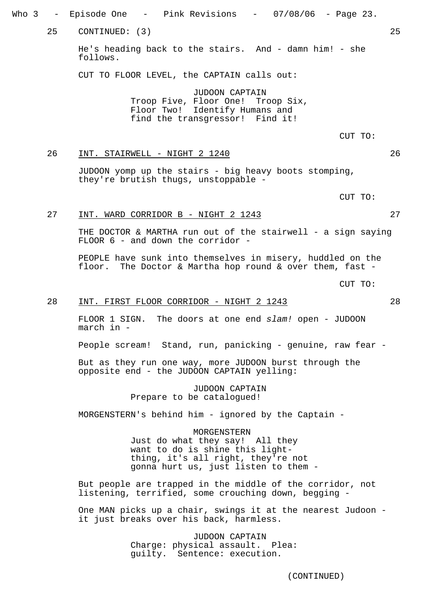Who 3 – Episode One – Pink Revisions – 07/08/06 – Page 23. 25 CONTINUED: (3) 25 He's heading back to the stairs. And - damn him! - she follows. CUT TO FLOOR LEVEL, the CAPTAIN calls out: JUDOON CAPTAIN Troop Five, Floor One! Troop Six, Floor Two! Identify Humans and find the transgressor! Find it! CUT TO: 26 INT. STAIRWELL - NIGHT 2 1240 26 JUDOON yomp up the stairs - big heavy boots stomping, they're brutish thugs, unstoppable - CUT TO: 27 INT. WARD CORRIDOR B - NIGHT 2 1243 27 THE DOCTOR & MARTHA run out of the stairwell - a sign saying FLOOR 6 - and down the corridor - PEOPLE have sunk into themselves in misery, huddled on the floor. The Doctor & Martha hop round & over them, fast - CUT TO: 28 INT. FIRST FLOOR CORRIDOR - NIGHT 2 1243 FLOOR 1 SIGN. The doors at one end slam! open - JUDOON march in - People scream! Stand, run, panicking - genuine, raw fear -But as they run one way, more JUDOON burst through the opposite end - the JUDOON CAPTAIN yelling: JUDOON CAPTAIN Prepare to be catalogued! MORGENSTERN's behind him - ignored by the Captain - MORGENSTERN Just do what they say! All they

want to do is shine this lightthing, it's all right, they're not gonna hurt us, just listen to them -

But people are trapped in the middle of the corridor, not listening, terrified, some crouching down, begging -

One MAN picks up a chair, swings it at the nearest Judoon it just breaks over his back, harmless.

> JUDOON CAPTAIN Charge: physical assault. Plea: guilty. Sentence: execution.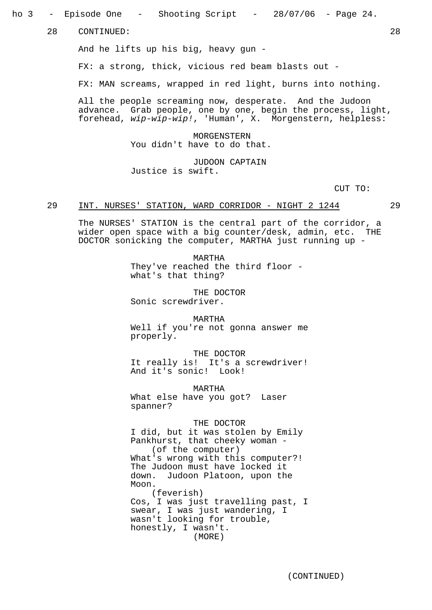ho 3 - Episode One - Shooting Script - 28/07/06 - Page 24.

28 CONTINUED: 28

And he lifts up his big, heavy gun -

FX: a strong, thick, vicious red beam blasts out -

FX: MAN screams, wrapped in red light, burns into nothing.

All the people screaming now, desperate. And the Judoon advance. Grab people, one by one, begin the process, light, forehead, wip-wip-wip!, 'Human', X. Morgenstern, helpless:

> MORGENSTERN You didn't have to do that.

JUDOON CAPTAIN Justice is swift.

CUT TO:

## 29 INT. NURSES' STATION, WARD CORRIDOR - NIGHT 2 1244 29

The NURSES' STATION is the central part of the corridor, a wider open space with a big counter/desk, admin, etc. THE DOCTOR sonicking the computer, MARTHA just running up -

> MARTHA They've reached the third floor what's that thing?

THE DOCTOR Sonic screwdriver.

MARTHA Well if you're not gonna answer me properly.

THE DOCTOR It really is! It's a screwdriver! And it's sonic! Look!

MARTHA What else have you got? Laser spanner?

THE DOCTOR

I did, but it was stolen by Emily Pankhurst, that cheeky woman - (of the computer) What's wrong with this computer?! The Judoon must have locked it down. Judoon Platoon, upon the Moon. (feverish) Cos, I was just travelling past, I swear, I was just wandering, I wasn't looking for trouble, honestly, I wasn't. (MORE)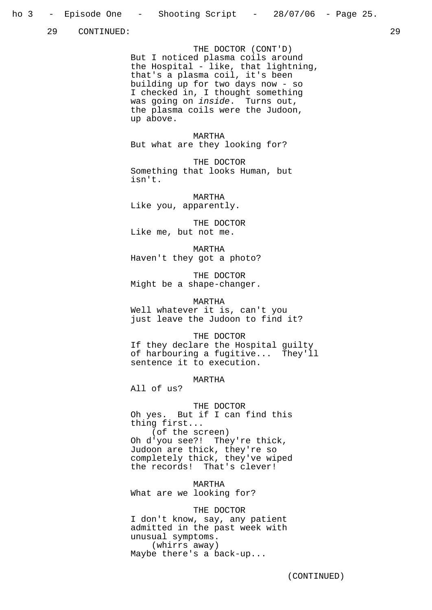29 CONTINUED: 29

THE DOCTOR (CONT'D) But I noticed plasma coils around the Hospital - like, that lightning, that's a plasma coil, it's been building up for two days now - so I checked in, I thought something was going on *inside*. Turns out, the plasma coils were the Judoon, up above.

MARTHA But what are they looking for?

THE DOCTOR Something that looks Human, but isn't.

MARTHA Like you, apparently.

THE DOCTOR Like me, but not me.

MARTHA Haven't they got a photo?

THE DOCTOR Might be a shape-changer.

MARTHA Well whatever it is, can't you just leave the Judoon to find it?

THE DOCTOR If they declare the Hospital guilty of harbouring a fugitive... They'll sentence it to execution.

MARTHA

All of us?

THE DOCTOR

Oh yes. But if I can find this thing first... (of the screen) Oh d'you see?! They're thick, Judoon are thick, they're so completely thick, they've wiped the records! That's clever!

MARTHA What are we looking for?

#### THE DOCTOR

I don't know, say, any patient admitted in the past week with unusual symptoms. (whirrs away) Maybe there's a back-up...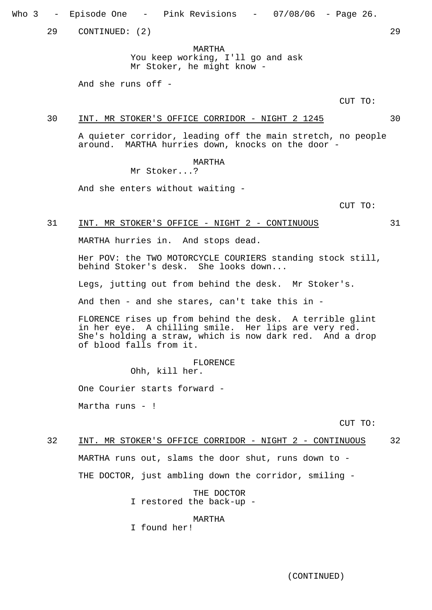Who 3 – Episode One – Pink Revisions – 07/08/06 – Page 26.

29 CONTINUED: (2) 29

MARTHA

You keep working, I'll go and ask Mr Stoker, he might know -

And she runs off -

CUT TO:

#### 30 INT. MR STOKER'S OFFICE CORRIDOR - NIGHT 2 1245 30

A quieter corridor, leading off the main stretch, no people around. MARTHA hurries down, knocks on the door -

## MARTHA

Mr Stoker...?

And she enters without waiting -

CUT TO:

#### 31 INT. MR STOKER'S OFFICE - NIGHT 2 - CONTINUOUS 31

MARTHA hurries in. And stops dead.

Her POV: the TWO MOTORCYCLE COURIERS standing stock still, behind Stoker's desk. She looks down...

Legs, jutting out from behind the desk. Mr Stoker's.

And then - and she stares, can't take this in -

FLORENCE rises up from behind the desk. A terrible glint in her eye. A chilling smile. Her lips are very red. She's holding a straw, which is now dark red. And a drop of blood falls from it.

> FLORENCE Ohh, kill her.

One Courier starts forward -

Martha runs - !

CUT TO:

# 32 INT. MR STOKER'S OFFICE CORRIDOR - NIGHT 2 - CONTINUOUS 32 MARTHA runs out, slams the door shut, runs down to -

THE DOCTOR, just ambling down the corridor, smiling -

THE DOCTOR I restored the back-up -

#### MARTHA

I found her!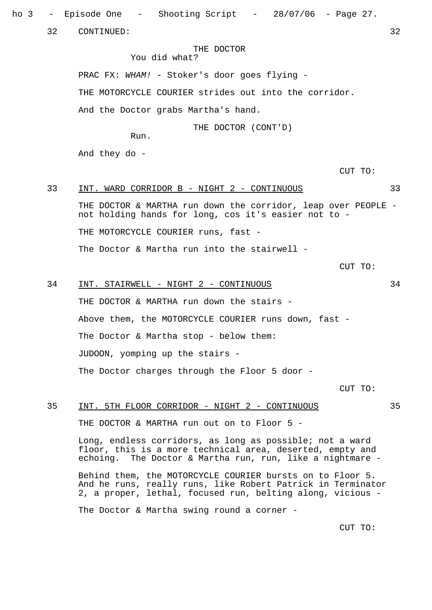ho 3 - Episode One - Shooting Script - 28/07/06 - Page 27.

32 CONTINUED: 32

THE DOCTOR

You did what?

PRAC FX: WHAM! - Stoker's door goes flying -

THE MOTORCYCLE COURIER strides out into the corridor.

And the Doctor grabs Martha's hand.

THE DOCTOR (CONT'D)

Run.

And they do -

CUT TO:

## 33 INT. WARD CORRIDOR B - NIGHT 2 - CONTINUOUS 33

THE DOCTOR & MARTHA run down the corridor, leap over PEOPLE not holding hands for long, cos it's easier not to -

THE MOTORCYCLE COURIER runs, fast -

The Doctor & Martha run into the stairwell -

CUT TO:

# 34 INT. STAIRWELL - NIGHT 2 - CONTINUOUS 34 THE DOCTOR & MARTHA run down the stairs -Above them, the MOTORCYCLE COURIER runs down, fast -The Doctor & Martha stop - below them: JUDOON, yomping up the stairs - The Doctor charges through the Floor 5 door -

CUT TO:

## 35 INT. 5TH FLOOR CORRIDOR - NIGHT 2 - CONTINUOUS 35

THE DOCTOR & MARTHA run out on to Floor 5 -

Long, endless corridors, as long as possible; not a ward floor, this is a more technical area, deserted, empty and echoing. The Doctor & Martha run, run, like a nightmare -

Behind them, the MOTORCYCLE COURIER bursts on to Floor 5. And he runs, really runs, like Robert Patrick in Terminator 2, a proper, lethal, focused run, belting along, vicious -

The Doctor & Martha swing round a corner -

CUT TO: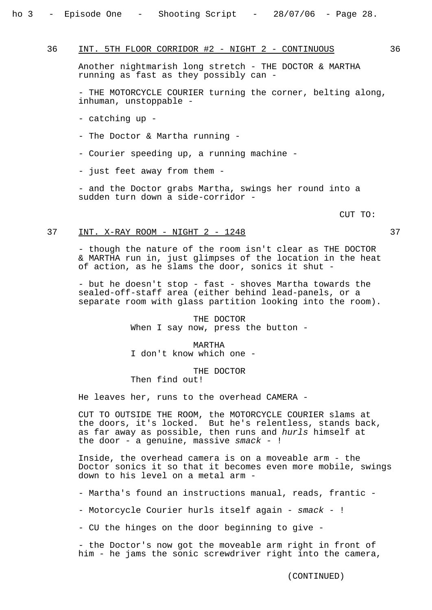## 36 INT. 5TH FLOOR CORRIDOR #2 - NIGHT 2 - CONTINUOUS 36

Another nightmarish long stretch - THE DOCTOR & MARTHA running as fast as they possibly can -

- THE MOTORCYCLE COURIER turning the corner, belting along, inhuman, unstoppable -

- catching up -
- The Doctor & Martha running -
- Courier speeding up, a running machine -
- just feet away from them -

- and the Doctor grabs Martha, swings her round into a sudden turn down a side-corridor -

CUT TO:

## 37 INT. X-RAY ROOM - NIGHT 2 - 1248 37

- though the nature of the room isn't clear as THE DOCTOR & MARTHA run in, just glimpses of the location in the heat of action, as he slams the door, sonics it shut -

- but he doesn't stop - fast - shoves Martha towards the sealed-off-staff area (either behind lead-panels, or a separate room with glass partition looking into the room).

> THE DOCTOR When I say now, press the button -

MARTHA I don't know which one -

THE DOCTOR Then find out!

He leaves her, runs to the overhead CAMERA -

CUT TO OUTSIDE THE ROOM, the MOTORCYCLE COURIER slams at the doors, it's locked. But he's relentless, stands back, as far away as possible, then runs and hurls himself at the door - a genuine, massive  $smack - !$ 

Inside, the overhead camera is on a moveable arm - the Doctor sonics it so that it becomes even more mobile, swings down to his level on a metal arm -

- Martha's found an instructions manual, reads, frantic -

- Motorcycle Courier hurls itself again - smack - !

- CU the hinges on the door beginning to give -

- the Doctor's now got the moveable arm right in front of him - he jams the sonic screwdriver right into the camera,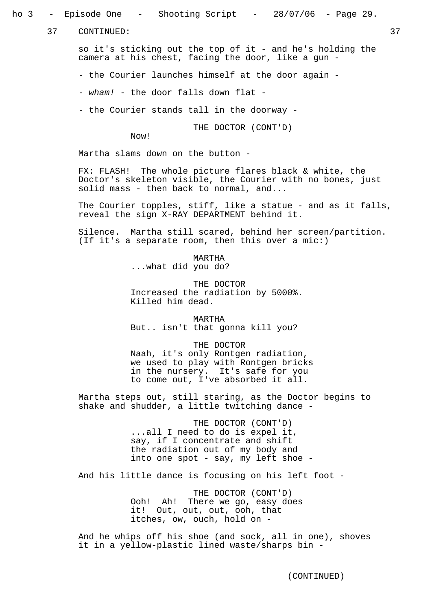ho 3 - Episode One - Shooting Script - 28/07/06 - Page 29.

37 CONTINUED: 37

so it's sticking out the top of it - and he's holding the camera at his chest, facing the door, like a gun -

- the Courier launches himself at the door again -

- wham! - the door falls down flat -

- the Courier stands tall in the doorway -

THE DOCTOR (CONT'D)

Now!

Martha slams down on the button -

FX: FLASH! The whole picture flares black & white, the Doctor's skeleton visible, the Courier with no bones, just solid mass - then back to normal, and...

The Courier topples, stiff, like a statue - and as it falls, reveal the sign X-RAY DEPARTMENT behind it.

Silence. Martha still scared, behind her screen/partition. (If it's a separate room, then this over a mic:)

> MARTHA ...what did you do?

THE DOCTOR Increased the radiation by 5000%. Killed him dead.

MARTHA But.. isn't that gonna kill you?

THE DOCTOR Naah, it's only Rontgen radiation, we used to play with Rontgen bricks in the nursery. It's safe for you to come out, I've absorbed it all.

Martha steps out, still staring, as the Doctor begins to shake and shudder, a little twitching dance -

> THE DOCTOR (CONT'D) ...all I need to do is expel it, say, if I concentrate and shift the radiation out of my body and into one spot - say, my left shoe -

And his little dance is focusing on his left foot -

THE DOCTOR (CONT'D) Ooh! Ah! There we go, easy does it! Out, out, out, ooh, that itches, ow, ouch, hold on -

And he whips off his shoe (and sock, all in one), shoves it in a yellow-plastic lined waste/sharps bin -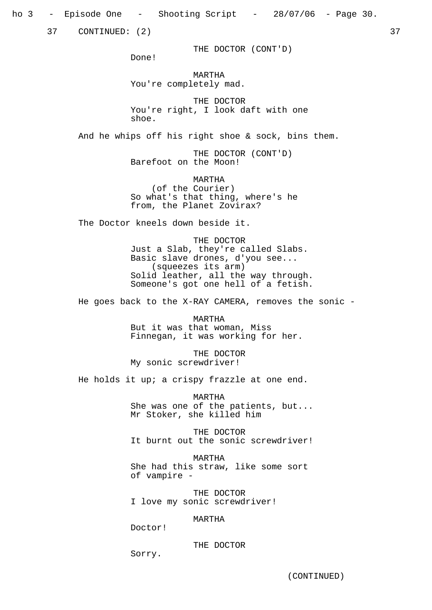ho 3 - Episode One - Shooting Script - 28/07/06 - Page 30.

37 CONTINUED: (2) 37

THE DOCTOR (CONT'D)

Done!

MARTHA You're completely mad.

THE DOCTOR You're right, I look daft with one shoe.

And he whips off his right shoe & sock, bins them.

THE DOCTOR (CONT'D) Barefoot on the Moon!

MARTHA (of the Courier) So what's that thing, where's he from, the Planet Zovirax?

The Doctor kneels down beside it.

THE DOCTOR Just a Slab, they're called Slabs. Basic slave drones, d'you see... (squeezes its arm) Solid leather, all the way through. Someone's got one hell of a fetish.

He goes back to the X-RAY CAMERA, removes the sonic -

MARTHA But it was that woman, Miss Finnegan, it was working for her.

THE DOCTOR My sonic screwdriver!

He holds it up; a crispy frazzle at one end.

MARTHA She was one of the patients, but... Mr Stoker, she killed him

THE DOCTOR It burnt out the sonic screwdriver!

MARTHA She had this straw, like some sort of vampire -

THE DOCTOR I love my sonic screwdriver!

MARTHA

Doctor!

THE DOCTOR

Sorry.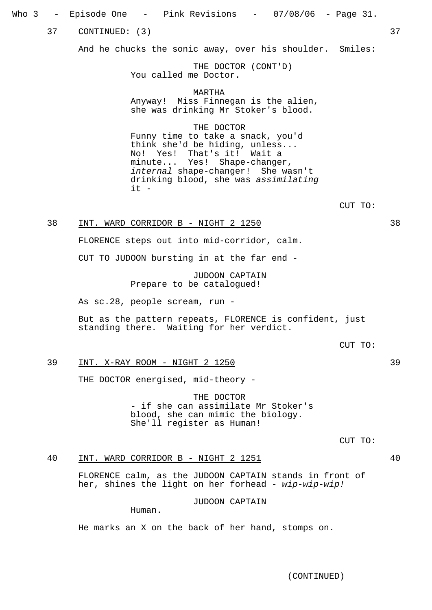Who 3 – Episode One – Pink Revisions – 07/08/06 – Page 31.

37 CONTINUED: (3) 37 37

And he chucks the sonic away, over his shoulder. Smiles:

THE DOCTOR (CONT'D) You called me Doctor.

MARTHA Anyway! Miss Finnegan is the alien, she was drinking Mr Stoker's blood.

THE DOCTOR Funny time to take a snack, you'd think she'd be hiding, unless... No! Yes! That's it! Wait a minute... Yes! Shape-changer, internal shape-changer! She wasn't drinking blood, she was assimilating it -

CUT TO:

## 38 INT. WARD CORRIDOR B - NIGHT 2 1250 38

FLORENCE steps out into mid-corridor, calm.

CUT TO JUDOON bursting in at the far end -

JUDOON CAPTAIN Prepare to be catalogued!

As sc.28, people scream, run -

But as the pattern repeats, FLORENCE is confident, just standing there. Waiting for her verdict.

CUT TO:

## 39 INT. X-RAY ROOM - NIGHT 2 1250 39

THE DOCTOR energised, mid-theory -

THE DOCTOR - if she can assimilate Mr Stoker's blood, she can mimic the biology. She'll register as Human!

CUT TO:

## 40 INT. WARD CORRIDOR B - NIGHT 2 1251 40

FLORENCE calm, as the JUDOON CAPTAIN stands in front of her, shines the light on her forhead - wip-wip-wip!

JUDOON CAPTAIN

Human.

He marks an X on the back of her hand, stomps on.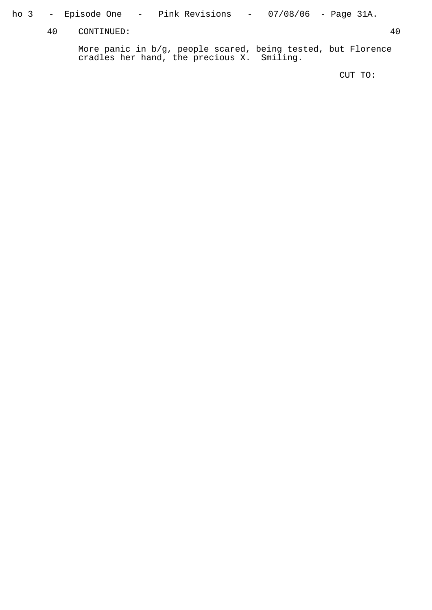## ho 3 – Episode One – Pink Revisions – 07/08/06 – Page 31A.

40 CONTINUED: 40

More panic in b/g, people scared, being tested, but Florence cradles her hand, the precious X. Smiling.

CUT TO: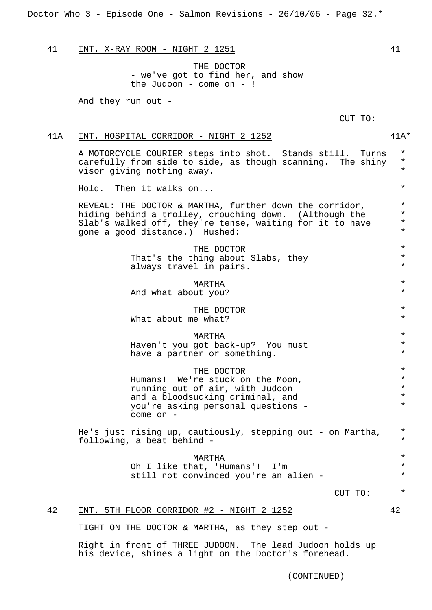Doctor Who 3 - Episode One - Salmon Revisions - 26/10/06 - Page 32.\*

41 INT. X-RAY ROOM - NIGHT 2 1251 41

THE DOCTOR - we've got to find her, and show the Judoon - come on -  $!$ 

And they run out -

CUT TO:

## 41A INT. HOSPITAL CORRIDOR - NIGHT 2 1252 41A\*

A MOTORCYCLE COURIER steps into shot. Stands still. Turns \* carefully from side to side, as though scanning. The shiny  $*$ <br>viser giving nothing away visor giving nothing away. \*

Hold. Then it walks on... \*

REVEAL: THE DOCTOR & MARTHA, further down the corridor,  $*$ hiding behind a trolley, crouching down. (Although the  $*$ <br>Slab's walked off they're tense waiting for it to have  $*$ Slab's walked off, they're tense, waiting for it to have  $*$ gone a good distance.) Hushed: \*

> THE DOCTOR  $*$ <br>
> hing about Slabs, thou That's the thing about Slabs, they  $*$ <br>always travel in pairs always travel in pairs.

MARTHA \* And what about you?

THE DOCTOR  $*$ What about me what?

MARTHA \* Haven't you got back-up? You must \* have a partner or something.  $*$ 

THE DOCTOR  $*$ <br>resturbs on the Moon Humans! We're stuck on the Moon,<br>
running out of air with Judoon running out of air, with Judoon  $*$ <br>and a bloodsucking criminal and  $*$ and a bloodsucking criminal, and  $*$ <br>
You're asking personal questions you're asking personal questions - \* come on -

He's just rising up, cautiously, stepping out - on Martha, \* following, a beat behind - \*

> MARTHA \* Oh I like that, 'Humans'! I'm \*<br>still not convinged you're an alien - \* \* still not convinced you're an alien -

> > CUT TO: \*

#### 42 INT. 5TH FLOOR CORRIDOR #2 - NIGHT 2 1252 42

TIGHT ON THE DOCTOR & MARTHA, as they step out -

Right in front of THREE JUDOON. The lead Judoon holds up his device, shines a light on the Doctor's forehead.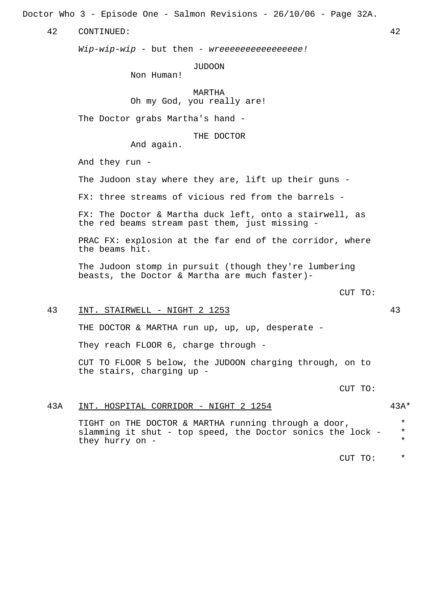Doctor Who 3 - Episode One - Salmon Revisions - 26/10/06 - Page 32A.

42 CONTINUED: 42

Wip-wip-wip - but then - wreeeeeeeeeeeeeeeee!

JUDOON

Non Human!

MARTHA Oh my God, you really are!

The Doctor grabs Martha's hand -

THE DOCTOR

And again.

And they run -

The Judoon stay where they are, lift up their guns -

FX: three streams of vicious red from the barrels -

FX: The Doctor & Martha duck left, onto a stairwell, as the red beams stream past them, just missing -

PRAC FX: explosion at the far end of the corridor, where the beams hit.

The Judoon stomp in pursuit (though they're lumbering beasts, the Doctor & Martha are much faster)-

CUT TO:

## 43 INT. STAIRWELL - NIGHT 2 1253 43

THE DOCTOR & MARTHA run up, up, up, desperate -

They reach FLOOR 6, charge through -

CUT TO FLOOR 5 below, the JUDOON charging through, on to the stairs, charging up -

CUT TO:

## 43A INT. HOSPITAL CORRIDOR - NIGHT 2 1254 43A\*

TIGHT on THE DOCTOR & MARTHA running through a door,  $*$ slamming it shut - top speed, the Doctor sonics the lock - \* they hurry on -

CUT TO: \*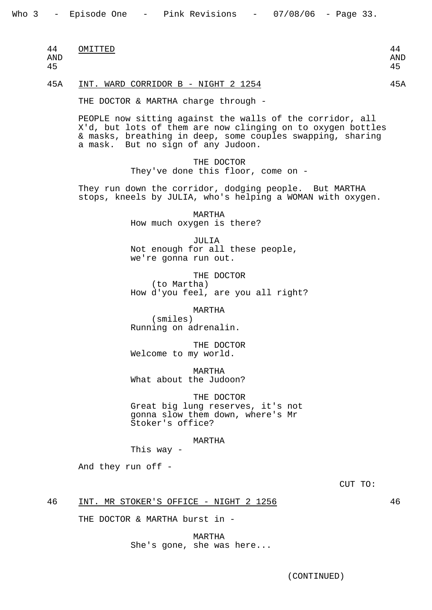| 44<br>. . | OMITTED | $\sqrt{ }$ |
|-----------|---------|------------|
|           |         |            |

AND AND

45 45

## 45A INT. WARD CORRIDOR B - NIGHT 2 1254

THE DOCTOR & MARTHA charge through -

PEOPLE now sitting against the walls of the corridor, all X'd, but lots of them are now clinging on to oxygen bottles & masks, breathing in deep, some couples swapping, sharing a mask. But no sign of any Judoon.

> THE DOCTOR They've done this floor, come on -

They run down the corridor, dodging people. But MARTHA stops, kneels by JULIA, who's helping a WOMAN with oxygen.

> MARTHA How much oxygen is there?

JULIA Not enough for all these people, we're gonna run out.

THE DOCTOR (to Martha) How d'you feel, are you all right?

MARTHA

(smiles) Running on adrenalin.

THE DOCTOR Welcome to my world.

MARTHA What about the Judoon?

THE DOCTOR Great big lung reserves, it's not gonna slow them down, where's Mr Stoker's office?

MARTHA

This way -

And they run off -

CUT TO:

46 INT. MR STOKER'S OFFICE - NIGHT 2 1256 46

THE DOCTOR & MARTHA burst in -

MARTHA She's gone, she was here...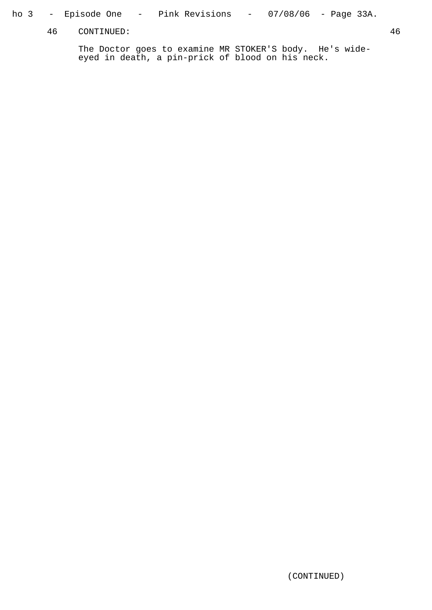## ho 3 – Episode One – Pink Revisions – 07/08/06 – Page 33A.

46 CONTINUED: 46

The Doctor goes to examine MR STOKER'S body. He's wideeyed in death, a pin-prick of blood on his neck.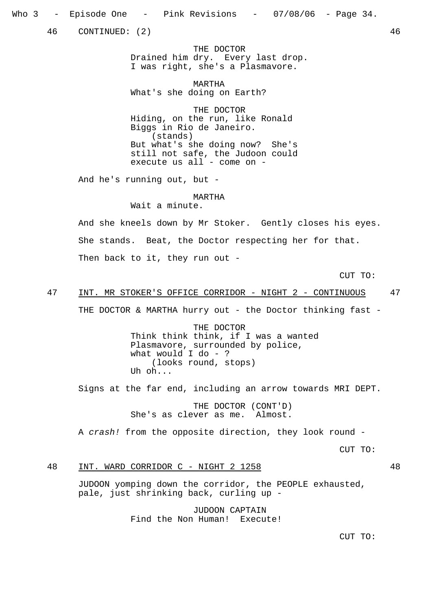46 CONTINUED: (2) 46

THE DOCTOR Drained him dry. Every last drop. I was right, she's a Plasmavore.

MARTHA What's she doing on Earth?

THE DOCTOR Hiding, on the run, like Ronald Biggs in Rio de Janeiro. (stands) But what's she doing now? She's still not safe, the Judoon could execute us all - come on -

And he's running out, but -

MARTHA

Wait a minute.

And she kneels down by Mr Stoker. Gently closes his eyes. She stands. Beat, the Doctor respecting her for that. Then back to it, they run out -

CUT TO:

## 47 INT. MR STOKER'S OFFICE CORRIDOR - NIGHT 2 - CONTINUOUS 47

THE DOCTOR & MARTHA hurry out - the Doctor thinking fast -

THE DOCTOR Think think think, if I was a wanted Plasmavore, surrounded by police, what would I do - ? (looks round, stops) Uh oh...

Signs at the far end, including an arrow towards MRI DEPT.

THE DOCTOR (CONT'D) She's as clever as me. Almost.

A crash! from the opposite direction, they look round -

CUT TO:

## 48 INT. WARD CORRIDOR C - NIGHT 2 1258 48

JUDOON yomping down the corridor, the PEOPLE exhausted, pale, just shrinking back, curling up -

> JUDOON CAPTAIN Find the Non Human! Execute!

> > CUT TO: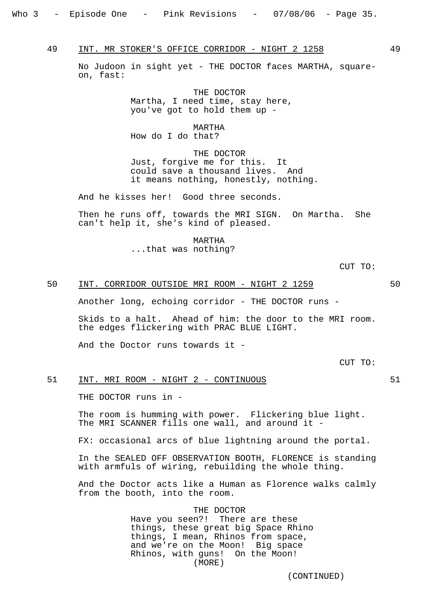49 INT. MR STOKER'S OFFICE CORRIDOR - NIGHT 2 1258 49

No Judoon in sight yet - THE DOCTOR faces MARTHA, squareon, fast:

> THE DOCTOR Martha, I need time, stay here, you've got to hold them up -

MARTHA How do I do that?

THE DOCTOR Just, forgive me for this. It could save a thousand lives. And it means nothing, honestly, nothing.

And he kisses her! Good three seconds.

Then he runs off, towards the MRI SIGN. On Martha. She can't help it, she's kind of pleased.

> MARTHA ...that was nothing?

> > CUT TO:

## 50 INT. CORRIDOR OUTSIDE MRI ROOM - NIGHT 2 1259 50

Another long, echoing corridor - THE DOCTOR runs -

Skids to a halt. Ahead of him: the door to the MRI room. the edges flickering with PRAC BLUE LIGHT.

And the Doctor runs towards it -

CUT TO:

## 51 INT. MRI ROOM - NIGHT 2 - CONTINUOUS 51

THE DOCTOR runs in -

The room is humming with power. Flickering blue light. The MRI SCANNER fills one wall, and around it -

FX: occasional arcs of blue lightning around the portal.

In the SEALED OFF OBSERVATION BOOTH, FLORENCE is standing with armfuls of wiring, rebuilding the whole thing.

And the Doctor acts like a Human as Florence walks calmly from the booth, into the room.

> THE DOCTOR Have you seen?! There are these things, these great big Space Rhino things, I mean, Rhinos from space, and we're on the Moon! Big space Rhinos, with guns! On the Moon! (MORE)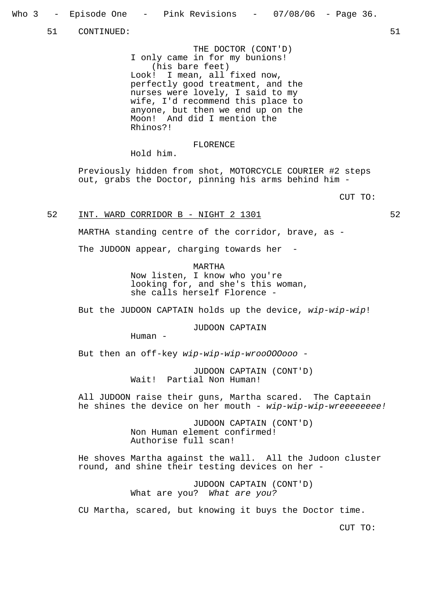51 CONTINUED: 51

THE DOCTOR (CONT'D) I only came in for my bunions! (his bare feet) Look! I mean, all fixed now, perfectly good treatment, and the nurses were lovely, I said to my wife, I'd recommend this place to anyone, but then we end up on the Moon! And did I mention the Rhinos?!

## FLORENCE

Hold him.

Previously hidden from shot, MOTORCYCLE COURIER #2 steps out, grabs the Doctor, pinning his arms behind him -

CUT TO:

## 52 INT. WARD CORRIDOR B - NIGHT 2 1301

MARTHA standing centre of the corridor, brave, as -

The JUDOON appear, charging towards her

MARTHA

Now listen, I know who you're looking for, and she's this woman, she calls herself Florence -

But the JUDOON CAPTAIN holds up the device, wip-wip-wip!

JUDOON CAPTAIN

Human -

But then an off-key wip-wip-wip-wrooOOOooo -

JUDOON CAPTAIN (CONT'D) Wait! Partial Non Human!

All JUDOON raise their guns, Martha scared. The Captain he shines the device on her mouth - wip-wip-wip-wreeeeeeee!

> JUDOON CAPTAIN (CONT'D) Non Human element confirmed! Authorise full scan!

He shoves Martha against the wall. All the Judoon cluster round, and shine their testing devices on her -

> JUDOON CAPTAIN (CONT'D) What are you? What are you?

CU Martha, scared, but knowing it buys the Doctor time.

CUT TO: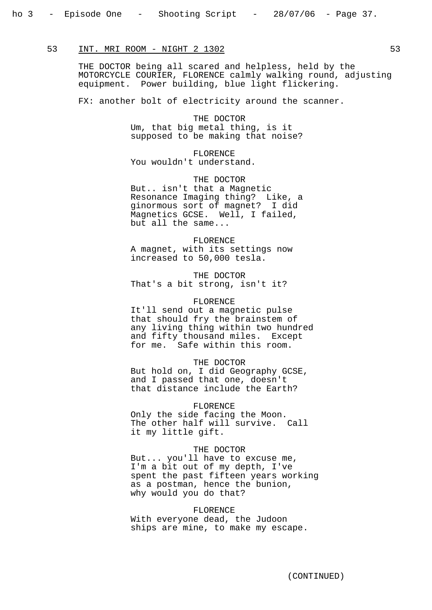## 53 INT. MRI ROOM - NIGHT 2 1302

THE DOCTOR being all scared and helpless, held by the MOTORCYCLE COURIER, FLORENCE calmly walking round, adjusting equipment. Power building, blue light flickering.

FX: another bolt of electricity around the scanner.

THE DOCTOR Um, that big metal thing, is it supposed to be making that noise?

FLORENCE You wouldn't understand.

THE DOCTOR But.. isn't that a Magnetic Resonance Imaging thing? Like, a ginormous sort of magnet? I did Magnetics GCSE. Well, I failed, but all the same...

#### FLORENCE

A magnet, with its settings now increased to 50,000 tesla.

THE DOCTOR That's a bit strong, isn't it?

#### FLORENCE

It'll send out a magnetic pulse that should fry the brainstem of any living thing within two hundred and fifty thousand miles. Except for me. Safe within this room.

### THE DOCTOR

But hold on, I did Geography GCSE, and I passed that one, doesn't that distance include the Earth?

#### FLORENCE

Only the side facing the Moon. The other half will survive. Call it my little gift.

### THE DOCTOR

But... you'll have to excuse me, I'm a bit out of my depth, I've spent the past fifteen years working as a postman, hence the bunion, why would you do that?

#### FLORENCE

With everyone dead, the Judoon ships are mine, to make my escape.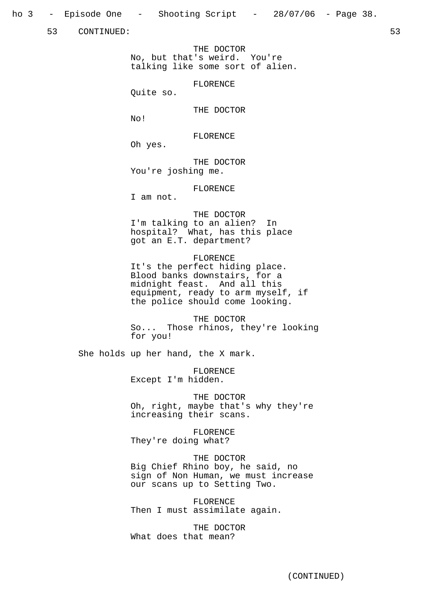ho 3 - Episode One - Shooting Script - 28/07/06 - Page 38.

53 CONTINUED: 53

THE DOCTOR No, but that's weird. You're talking like some sort of alien.

FLORENCE

Quite so.

THE DOCTOR

No!

FLORENCE

Oh yes.

THE DOCTOR You're joshing me.

FLORENCE

I am not.

THE DOCTOR I'm talking to an alien? In hospital? What, has this place got an E.T. department?

#### FLORENCE

It's the perfect hiding place. Blood banks downstairs, for a midnight feast. And all this equipment, ready to arm myself, if the police should come looking.

THE DOCTOR So... Those rhinos, they're looking for you!

She holds up her hand, the X mark.

FLORENCE Except I'm hidden.

THE DOCTOR Oh, right, maybe that's why they're increasing their scans.

FLORENCE

They're doing what?

## THE DOCTOR

Big Chief Rhino boy, he said, no sign of Non Human, we must increase our scans up to Setting Two.

FLORENCE Then I must assimilate again.

THE DOCTOR What does that mean?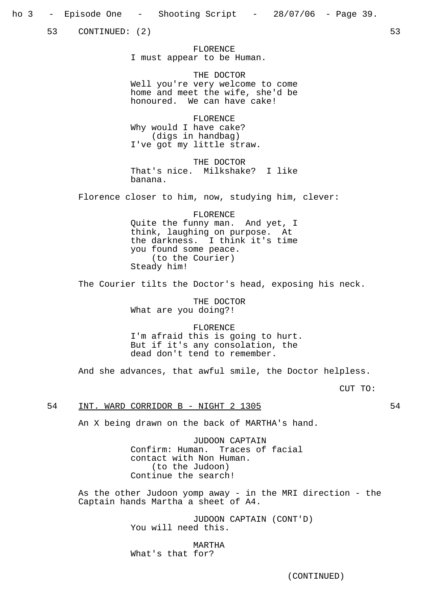53 CONTINUED: (2) 53

FLORENCE I must appear to be Human.

THE DOCTOR Well you're very welcome to come home and meet the wife, she'd be honoured. We can have cake!

FLORENCE Why would I have cake? (digs in handbag) I've got my little straw.

THE DOCTOR That's nice. Milkshake? I like banana.

Florence closer to him, now, studying him, clever:

FLORENCE Quite the funny man. And yet, I think, laughing on purpose. At the darkness. I think it's time you found some peace. (to the Courier) Steady him!

The Courier tilts the Doctor's head, exposing his neck.

THE DOCTOR What are you doing?!

FLORENCE I'm afraid this is going to hurt. But if it's any consolation, the dead don't tend to remember.

And she advances, that awful smile, the Doctor helpless.

CUT TO:

## 54 INT. WARD CORRIDOR B - NIGHT 2 1305

An X being drawn on the back of MARTHA's hand.

JUDOON CAPTAIN Confirm: Human. Traces of facial contact with Non Human. (to the Judoon) Continue the search!

As the other Judoon yomp away - in the MRI direction - the Captain hands Martha a sheet of A4.

> JUDOON CAPTAIN (CONT'D) You will need this.

MARTHA What's that for?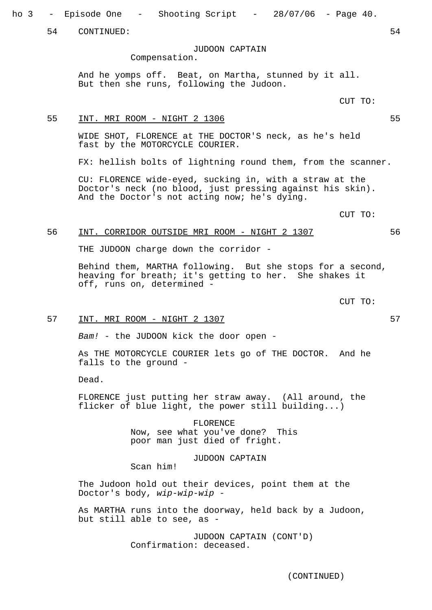ho 3 - Episode One - Shooting Script - 28/07/06 - Page 40.

54 CONTINUED: 54

JUDOON CAPTAIN

Compensation.

And he yomps off. Beat, on Martha, stunned by it all. But then she runs, following the Judoon.

CUT TO:

## 55 INT. MRI ROOM - NIGHT 2 1306 55

WIDE SHOT, FLORENCE at THE DOCTOR'S neck, as he's held fast by the MOTORCYCLE COURIER.

FX: hellish bolts of lightning round them, from the scanner.

CU: FLORENCE wide-eyed, sucking in, with a straw at the Doctor's neck (no blood, just pressing against his skin). And the Doctor's not acting now; he's dying.

## 56 INT. CORRIDOR OUTSIDE MRI ROOM - NIGHT 2 1307 56

THE JUDOON charge down the corridor -

Behind them, MARTHA following. But she stops for a second, heaving for breath; it's getting to her. She shakes it off, runs on, determined -

CUT TO:

CUT TO:

## 57 INT. MRI ROOM - NIGHT 2 1307

Bam! - the JUDOON kick the door open -

As THE MOTORCYCLE COURIER lets go of THE DOCTOR. And he falls to the ground -

Dead.

FLORENCE just putting her straw away. (All around, the flicker of blue light, the power still building...)

> FLORENCE Now, see what you've done? This poor man just died of fright.

## JUDOON CAPTAIN

Scan him!

The Judoon hold out their devices, point them at the Doctor's body, wip-wip-wip -

As MARTHA runs into the doorway, held back by a Judoon, but still able to see, as -

> JUDOON CAPTAIN (CONT'D) Confirmation: deceased.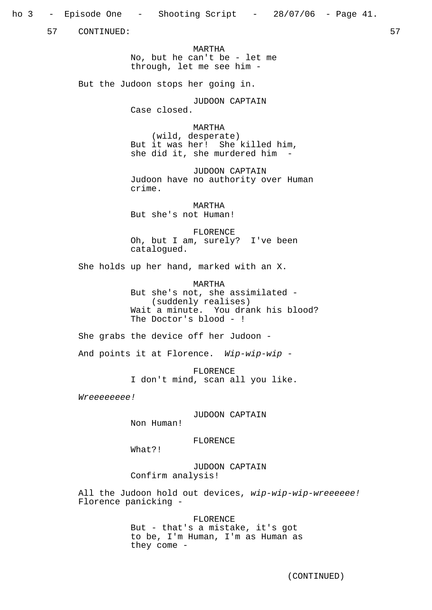57 CONTINUED: 57

MARTHA No, but he can't be - let me through, let me see him -

But the Judoon stops her going in.

JUDOON CAPTAIN Case closed.

MARTHA

(wild, desperate) But it was her! She killed him, she did it, she murdered him -

JUDOON CAPTAIN Judoon have no authority over Human crime.

MARTHA But she's not Human!

FLORENCE Oh, but I am, surely? I've been catalogued.

She holds up her hand, marked with an X.

MARTHA But she's not, she assimilated - (suddenly realises) Wait a minute. You drank his blood? The Doctor's blood - !

She grabs the device off her Judoon -

And points it at Florence. Wip-wip-wip -

FLORENCE I don't mind, scan all you like.

Wreeeeeee!

JUDOON CAPTAIN

Non Human!

FLORENCE

What?!

JUDOON CAPTAIN Confirm analysis!

All the Judoon hold out devices, wip-wip-wip-wreeeeee! Florence panicking -

> FLORENCE But - that's a mistake, it's got to be, I'm Human, I'm as Human as they come -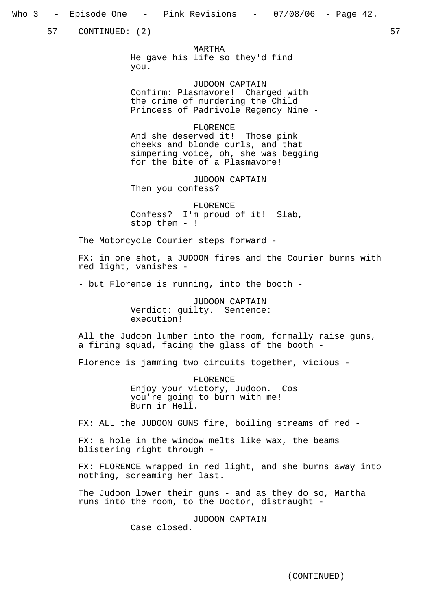57 CONTINUED: (2) 57

MARTHA He gave his life so they'd find you.

JUDOON CAPTAIN Confirm: Plasmavore! Charged with the crime of murdering the Child Princess of Padrivole Regency Nine -

#### FLORENCE

And she deserved it! Those pink cheeks and blonde curls, and that simpering voice, oh, she was begging for the bite of a Plasmavore!

JUDOON CAPTAIN Then you confess?

FLORENCE Confess? I'm proud of it! Slab, stop them - !

The Motorcycle Courier steps forward -

FX: in one shot, a JUDOON fires and the Courier burns with red light, vanishes -

- but Florence is running, into the booth -

JUDOON CAPTAIN Verdict: guilty. Sentence: execution!

All the Judoon lumber into the room, formally raise guns, a firing squad, facing the glass of the booth -

Florence is jamming two circuits together, vicious -

FLORENCE Enjoy your victory, Judoon. Cos you're going to burn with me! Burn in Hell.

FX: ALL the JUDOON GUNS fire, boiling streams of red -

FX: a hole in the window melts like wax, the beams blistering right through -

FX: FLORENCE wrapped in red light, and she burns away into nothing, screaming her last.

The Judoon lower their guns - and as they do so, Martha runs into the room, to the Doctor, distraught -

> JUDOON CAPTAIN Case closed.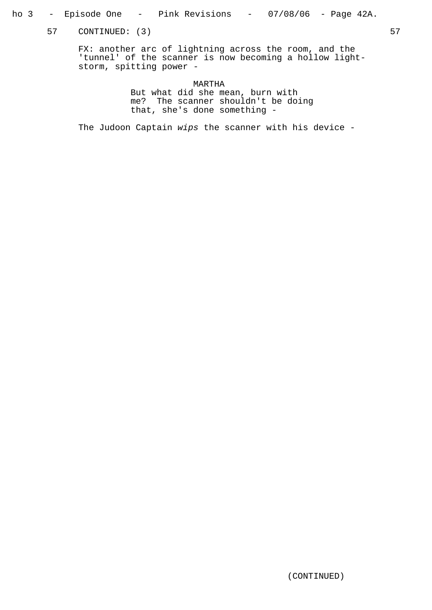- ho 3 Episode One Pink Revisions 07/08/06 Page 42A.
	- 57 CONTINUED: (3) 57

FX: another arc of lightning across the room, and the 'tunnel' of the scanner is now becoming a hollow lightstorm, spitting power -

> MARTHA But what did she mean, burn with me? The scanner shouldn't be doing that, she's done something -

The Judoon Captain wips the scanner with his device -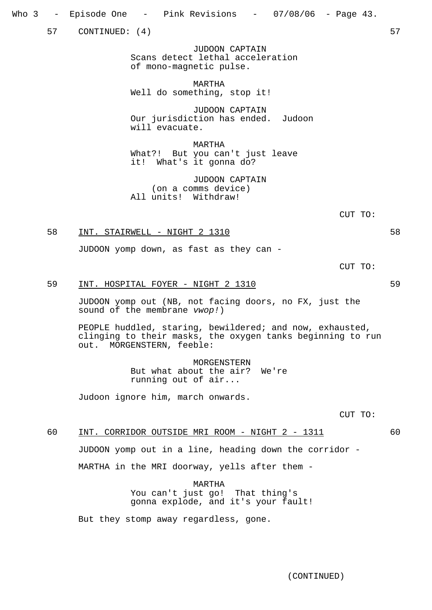Who 3 – Episode One – Pink Revisions – 07/08/06 – Page 43.

57 CONTINUED: (4) 57

JUDOON CAPTAIN Scans detect lethal acceleration of mono-magnetic pulse.

MARTHA Well do something, stop it!

JUDOON CAPTAIN Our jurisdiction has ended. Judoon will evacuate.

MARTHA What?! But you can't just leave it! What's it gonna do?

JUDOON CAPTAIN (on a comms device) All units! Withdraw!

CUT TO:

## 58 INT. STAIRWELL - NIGHT 2 1310

JUDOON yomp down, as fast as they can -

CUT TO:

## 59 INT. HOSPITAL FOYER - NIGHT 2 1310 59

JUDOON yomp out (NB, not facing doors, no FX, just the sound of the membrane vwop!)

PEOPLE huddled, staring, bewildered; and now, exhausted, clinging to their masks, the oxygen tanks beginning to run out. MORGENSTERN, feeble:

> MORGENSTERN But what about the air? We're running out of air...

Judoon ignore him, march onwards.

CUT TO:

#### 60 INT. CORRIDOR OUTSIDE MRI ROOM - NIGHT 2 - 1311 60

JUDOON yomp out in a line, heading down the corridor -

MARTHA in the MRI doorway, yells after them -

MARTHA You can't just go! That thing's gonna explode, and it's your fault!

But they stomp away regardless, gone.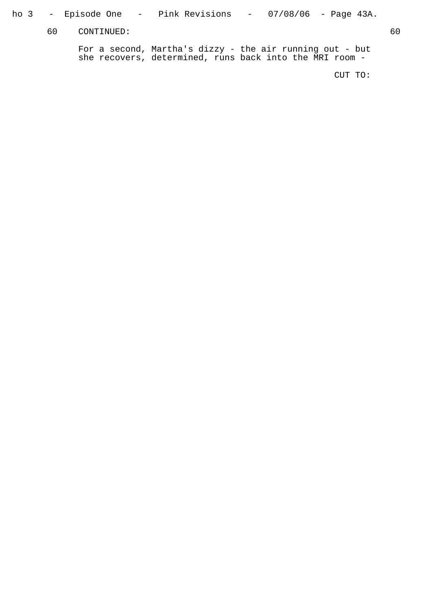ho 3 – Episode One – Pink Revisions – 07/08/06 – Page 43A.

60 CONTINUED: 60

For a second, Martha's dizzy - the air running out - but she recovers, determined, runs back into the MRI room -

CUT TO: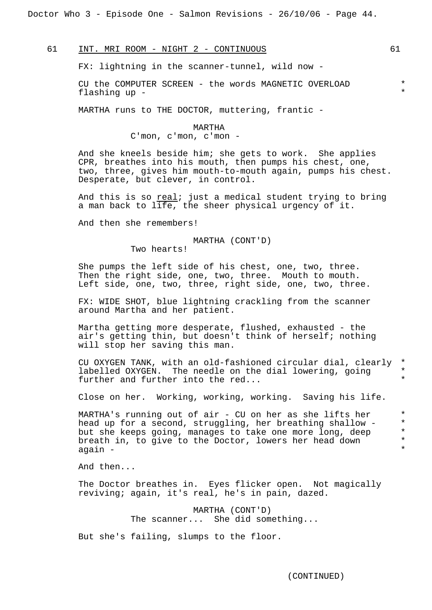Doctor Who 3 - Episode One - Salmon Revisions - 26/10/06 - Page 44.

61 INT. MRI ROOM - NIGHT 2 - CONTINUOUS 61

FX: lightning in the scanner-tunnel, wild now -

CU the COMPUTER SCREEN - the words MAGNETIC OVERLOAD \* flashing up - \*

MARTHA runs to THE DOCTOR, muttering, frantic -

MARTHA

C'mon, c'mon, c'mon -

And she kneels beside him; she gets to work. She applies CPR, breathes into his mouth, then pumps his chest, one, two, three, gives him mouth-to-mouth again, pumps his chest. Desperate, but clever, in control.

And this is so  $real$ ; just a medical student trying to bring</u> a man back to life, the sheer physical urgency of it.

And then she remembers!

MARTHA (CONT'D)

Two hearts!

She pumps the left side of his chest, one, two, three. Then the right side, one, two, three. Mouth to mouth. Left side, one, two, three, right side, one, two, three.

FX: WIDE SHOT, blue lightning crackling from the scanner around Martha and her patient.

Martha getting more desperate, flushed, exhausted - the air's getting thin, but doesn't think of herself; nothing will stop her saving this man.

CU OXYGEN TANK, with an old-fashioned circular dial, clearly \* labelled OXYGEN. The needle on the dial lowering, going  $*$ <br>further and further into the red further and further into the  $red...$ 

Close on her. Working, working, working. Saving his life.

MARTHA's running out of air - CU on her as she lifts her  $*$ <br>head up for a second struggling her breathing shallow -  $*$ head up for a second, struggling, her breathing shallow - \*<br>but she keeps going manages to take one more long, deep \* but she keeps going, manages to take one more long, deep \*<br>breath in to give to the Doctor lowers her head down \* breath in, to give to the Doctor, lowers her head down  $*$ again - \*

And then...

The Doctor breathes in. Eyes flicker open. Not magically reviving; again, it's real, he's in pain, dazed.

> MARTHA (CONT'D) The scanner... She did something...

But she's failing, slumps to the floor.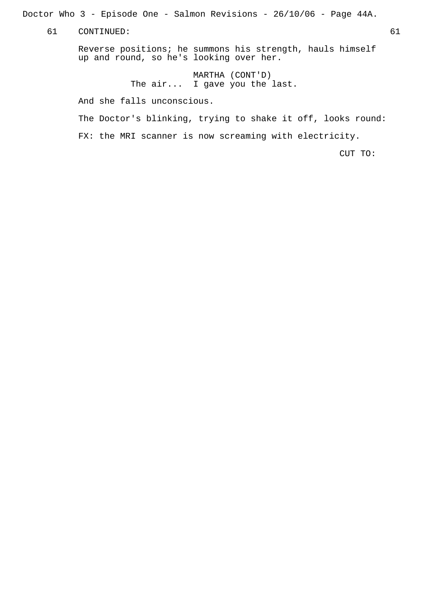Doctor Who 3 - Episode One - Salmon Revisions - 26/10/06 - Page 44A.

61 CONTINUED: 61

Reverse positions; he summons his strength, hauls himself up and round, so he's looking over her.

> MARTHA (CONT'D) The air... I gave you the last.

And she falls unconscious.

The Doctor's blinking, trying to shake it off, looks round:

FX: the MRI scanner is now screaming with electricity.

CUT TO: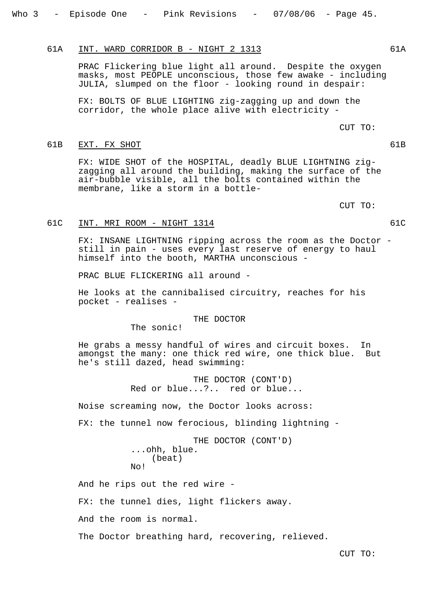## 61A INT. WARD CORRIDOR B - NIGHT 2 1313

PRAC Flickering blue light all around. Despite the oxygen masks, most PEOPLE unconscious, those few awake - including JULIA, slumped on the floor - looking round in despair:

FX: BOLTS OF BLUE LIGHTING zig-zagging up and down the corridor, the whole place alive with electricity -

## 61B EXT. FX SHOT

FX: WIDE SHOT of the HOSPITAL, deadly BLUE LIGHTNING zigzagging all around the building, making the surface of the air-bubble visible, all the bolts contained within the membrane, like a storm in a bottle-

CUT TO:

CUT TO:

## 61C INT. MRI ROOM - NIGHT 1314

FX: INSANE LIGHTNING ripping across the room as the Doctor still in pain - uses every last reserve of energy to haul himself into the booth, MARTHA unconscious -

PRAC BLUE FLICKERING all around -

He looks at the cannibalised circuitry, reaches for his pocket - realises -

#### THE DOCTOR

The sonic!

He grabs a messy handful of wires and circuit boxes. In amongst the many: one thick red wire, one thick blue. But he's still dazed, head swimming:

> THE DOCTOR (CONT'D) Red or blue...?.. red or blue...

Noise screaming now, the Doctor looks across:

FX: the tunnel now ferocious, blinding lightning -

THE DOCTOR (CONT'D) ...ohh, blue. (beat) No!

And he rips out the red wire -

FX: the tunnel dies, light flickers away.

And the room is normal.

The Doctor breathing hard, recovering, relieved.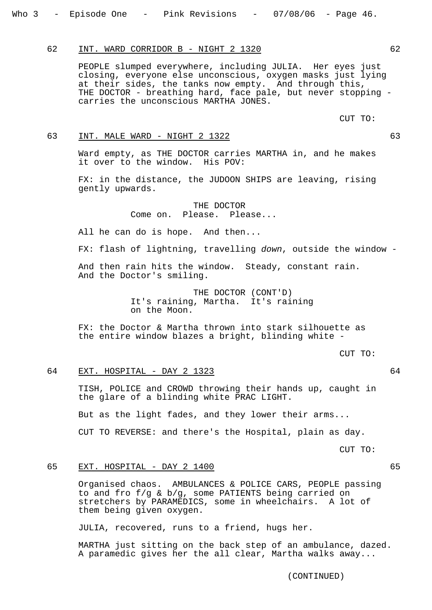## 62 INT. WARD CORRIDOR B - NIGHT 2 1320 62

PEOPLE slumped everywhere, including JULIA. Her eyes just closing, everyone else unconscious, oxygen masks just lying at their sides, the tanks now empty. And through this, THE DOCTOR - breathing hard, face pale, but never stopping carries the unconscious MARTHA JONES.

CUT TO:

## 63 INT. MALE WARD - NIGHT 2 1322 63

Ward empty, as THE DOCTOR carries MARTHA in, and he makes it over to the window. His POV:

FX: in the distance, the JUDOON SHIPS are leaving, rising gently upwards.

> THE DOCTOR Come on. Please. Please...

All he can do is hope. And then...

FX: flash of lightning, travelling down, outside the window -

And then rain hits the window. Steady, constant rain. And the Doctor's smiling.

> THE DOCTOR (CONT'D) It's raining, Martha. It's raining on the Moon.

FX: the Doctor & Martha thrown into stark silhouette as the entire window blazes a bright, blinding white -

CUT TO:

## 64 EXT. HOSPITAL - DAY 2 1323 64

TISH, POLICE and CROWD throwing their hands up, caught in the glare of a blinding white PRAC LIGHT.

But as the light fades, and they lower their arms...

CUT TO REVERSE: and there's the Hospital, plain as day.

CUT TO:

## 65 EXT. HOSPITAL - DAY 2 1400 65

Organised chaos. AMBULANCES & POLICE CARS, PEOPLE passing to and fro f/g & b/g, some PATIENTS being carried on stretchers by PARAMEDICS, some in wheelchairs. A lot of them being given oxygen.

JULIA, recovered, runs to a friend, hugs her.

MARTHA just sitting on the back step of an ambulance, dazed. A paramedic gives her the all clear, Martha walks away...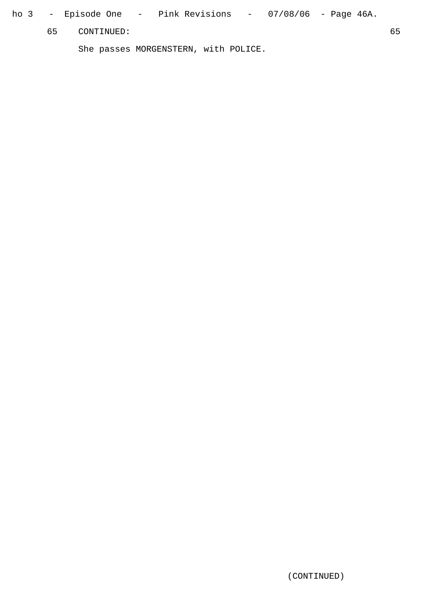ho 3 – Episode One – Pink Revisions – 07/08/06 – Page 46A.

65 CONTINUED: 65

She passes MORGENSTERN, with POLICE.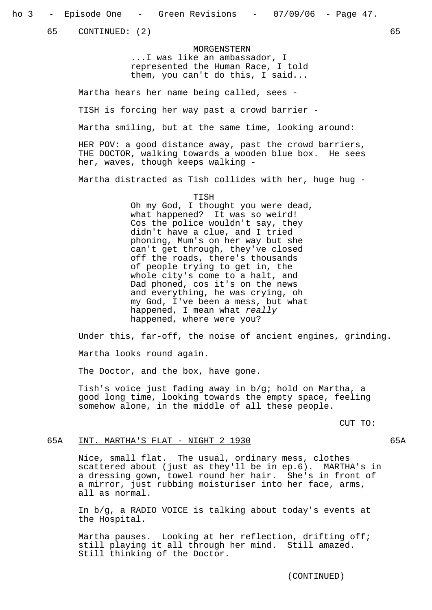65 CONTINUED: (2) 65

MORGENSTERN ...I was like an ambassador, I represented the Human Race, I told them, you can't do this, I said...

Martha hears her name being called, sees -

TISH is forcing her way past a crowd barrier -

Martha smiling, but at the same time, looking around:

HER POV: a good distance away, past the crowd barriers, THE DOCTOR, walking towards a wooden blue box. He sees her, waves, though keeps walking -

Martha distracted as Tish collides with her, huge hug -

TISH

Oh my God, I thought you were dead, what happened? It was so weird! Cos the police wouldn't say, they didn't have a clue, and I tried phoning, Mum's on her way but she can't get through, they've closed off the roads, there's thousands of people trying to get in, the whole city's come to a halt, and Dad phoned, cos it's on the news and everything, he was crying, oh my God, I've been a mess, but what happened, I mean what really happened, where were you?

Under this, far-off, the noise of ancient engines, grinding.

Martha looks round again.

The Doctor, and the box, have gone.

Tish's voice just fading away in b/g; hold on Martha, a good long time, looking towards the empty space, feeling somehow alone, in the middle of all these people.

CUT TO:

## 65A INT. MARTHA'S FLAT - NIGHT 2 1930 **65A**

Nice, small flat. The usual, ordinary mess, clothes scattered about (just as they'll be in ep.6). MARTHA's in a dressing gown, towel round her hair. She's in front of a mirror, just rubbing moisturiser into her face, arms, all as normal.

In b/g, a RADIO VOICE is talking about today's events at the Hospital.

Martha pauses. Looking at her reflection, drifting off; still playing it all through her mind. Still amazed. Still thinking of the Doctor.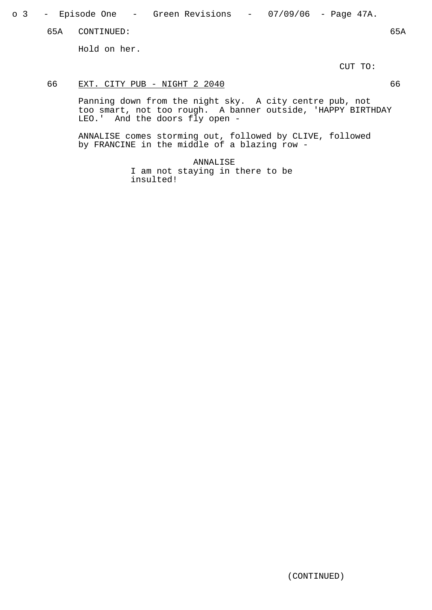o 3 – Episode One – Green Revisions – 07/09/06 – Page 47A.

65A CONTINUED: 65A

Hold on her.

CUT TO:

## 66 EXT. CITY PUB - NIGHT 2 2040 66

Panning down from the night sky. A city centre pub, not too smart, not too rough. A banner outside, 'HAPPY BIRTHDAY LEO.' And the doors fly open -

ANNALISE comes storming out, followed by CLIVE, followed by FRANCINE in the middle of a blazing row -

> ANNALISE I am not staying in there to be insulted!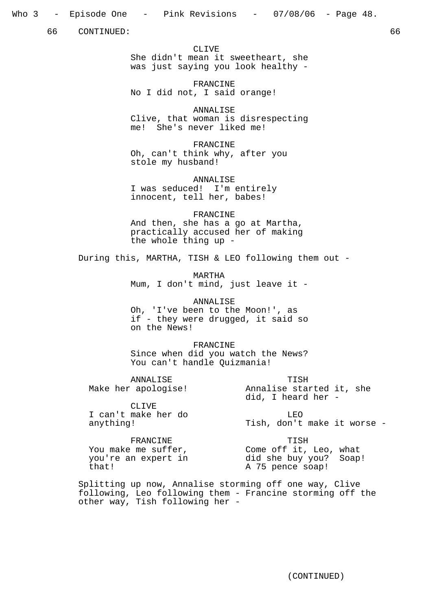## Who 3 – Episode One – Pink Revisions – 07/08/06 – Page 48.

66 CONTINUED: 66

CLIVE She didn't mean it sweetheart, she was just saying you look healthy -

FRANCINE No I did not, I said orange!

ANNALISE Clive, that woman is disrespecting me! She's never liked me!

FRANCINE Oh, can't think why, after you stole my husband!

ANNALISE I was seduced! I'm entirely innocent, tell her, babes!

FRANCINE And then, she has a go at Martha, practically accused her of making the whole thing up -

During this, MARTHA, TISH & LEO following them out -

MARTHA Mum, I don't mind, just leave it -

ANNALISE Oh, 'I've been to the Moon!', as if - they were drugged, it said so on the News!

FRANCINE Since when did you watch the News? You can't handle Quizmania!

ANNALISE Make her apologise!

CLIVE I can't make her do anything!

LEO Tish, don't make it worse -

FRANCINE You make me suffer, you're an expert in that!

TISH Come off it, Leo, what did she buy you? Soap! A 75 pence soap!

TISH Annalise started it, she

did, I heard her -

Splitting up now, Annalise storming off one way, Clive following, Leo following them - Francine storming off the other way, Tish following her -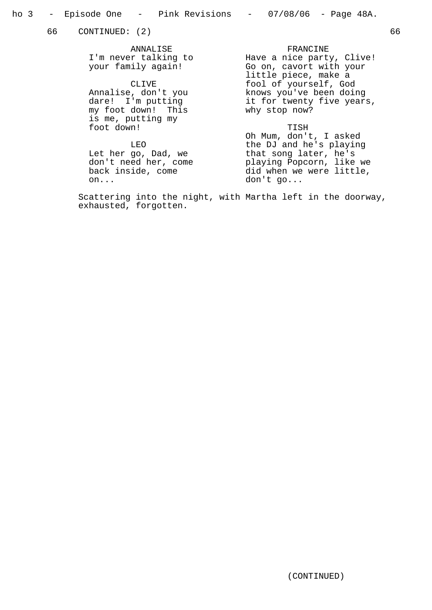66 CONTINUED: (2) 66

ANNALISE I'm never talking to your family again!

CLIVE Annalise, don't you dare! I'm putting my foot down! This is me, putting my foot down!

LEO

Let her go, Dad, we don't need her, come back inside, come on...

FRANCINE Have a nice party, Clive! Go on, cavort with your little piece, make a fool of yourself, God knows you've been doing it for twenty five years, why stop now?

TISH<br>Oh Mum, don't, I asked Oh Mum, don't, I asked the DJ and he's playing that song later, he's playing Popcorn, like we did when we were little, don't go...

Scattering into the night, with Martha left in the doorway, exhausted, forgotten.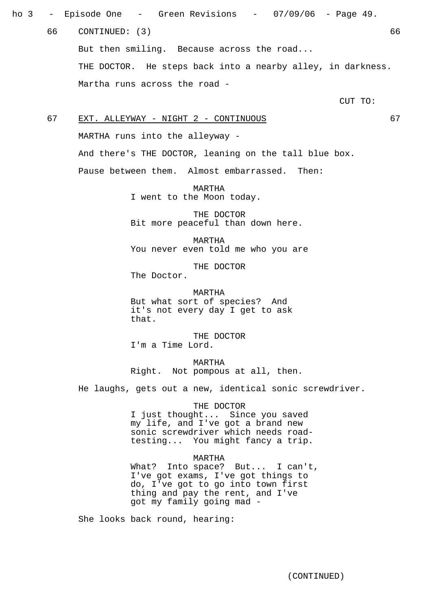ho 3 – Episode One – Green Revisions – 07/09/06 – Page 49. 66 CONTINUED: (3) 66 But then smiling. Because across the road... THE DOCTOR. He steps back into a nearby alley, in darkness. Martha runs across the road -

CUT TO:

67 EXT. ALLEYWAY - NIGHT 2 - CONTINUOUS 67 MARTHA runs into the alleyway - And there's THE DOCTOR, leaning on the tall blue box. Pause between them. Almost embarrassed. Then:

> MARTHA I went to the Moon today.

THE DOCTOR Bit more peaceful than down here.

MARTHA You never even told me who you are

THE DOCTOR The Doctor.

MARTHA But what sort of species? And it's not every day I get to ask that.

THE DOCTOR I'm a Time Lord.

MARTHA Right. Not pompous at all, then.

He laughs, gets out a new, identical sonic screwdriver.

#### THE DOCTOR

I just thought... Since you saved my life, and I've got a brand new sonic screwdriver which needs roadtesting... You might fancy a trip.

#### MARTHA

What? Into space? But... I can't, I've got exams, I've got things to do, I've got to go into town first thing and pay the rent, and I've got my family going mad -

She looks back round, hearing: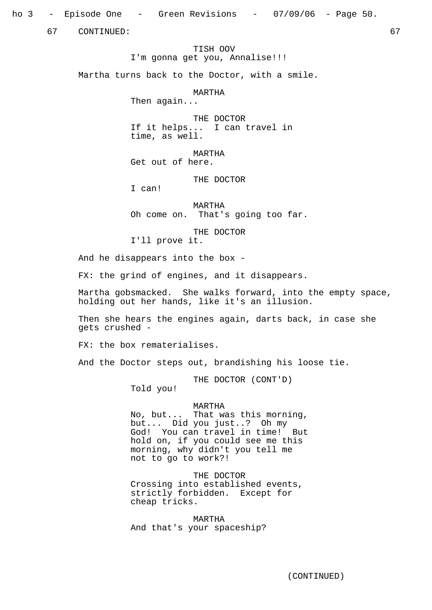ho 3 – Episode One – Green Revisions – 07/09/06 – Page 50.

67 CONTINUED: 67

TISH OOV I'm gonna get you, Annalise!!!

Martha turns back to the Doctor, with a smile.

MARTHA

Then again...

THE DOCTOR If it helps... I can travel in time, as well.

MARTHA Get out of here.

THE DOCTOR

I can!

MARTHA Oh come on. That's going too far.

THE DOCTOR I'll prove it.

And he disappears into the box -

FX: the grind of engines, and it disappears.

Martha gobsmacked. She walks forward, into the empty space, holding out her hands, like it's an illusion.

Then she hears the engines again, darts back, in case she gets crushed -

FX: the box rematerialises.

And the Doctor steps out, brandishing his loose tie.

THE DOCTOR (CONT'D)

Told you!

#### MARTHA

No, but... That was this morning, but... Did you just..? Oh my God! You can travel in time! But hold on, if you could see me this morning, why didn't you tell me not to go to work?!

THE DOCTOR Crossing into established events, strictly forbidden. Except for cheap tricks.

MARTHA And that's your spaceship?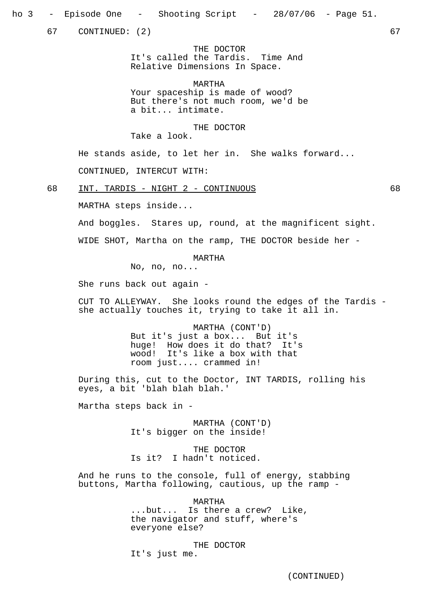67 CONTINUED: (2) 67

THE DOCTOR It's called the Tardis. Time And Relative Dimensions In Space.

MARTHA Your spaceship is made of wood? But there's not much room, we'd be a bit... intimate.

THE DOCTOR

Take a look.

He stands aside, to let her in. She walks forward... CONTINUED, INTERCUT WITH:

68 INT. TARDIS - NIGHT 2 - CONTINUOUS 68

MARTHA steps inside...

And boggles. Stares up, round, at the magnificent sight.

WIDE SHOT, Martha on the ramp, THE DOCTOR beside her -

MARTHA

No, no, no...

She runs back out again -

CUT TO ALLEYWAY. She looks round the edges of the Tardis she actually touches it, trying to take it all in.

> MARTHA (CONT'D) But it's just a box... But it's huge! How does it do that? It's wood! It's like a box with that room just.... crammed in!

During this, cut to the Doctor, INT TARDIS, rolling his eyes, a bit 'blah blah blah.'

Martha steps back in -

MARTHA (CONT'D) It's bigger on the inside!

THE DOCTOR Is it? I hadn't noticed.

And he runs to the console, full of energy, stabbing buttons, Martha following, cautious, up the ramp -

> MARTHA ...but... Is there a crew? Like, the navigator and stuff, where's everyone else?

THE DOCTOR It's just me.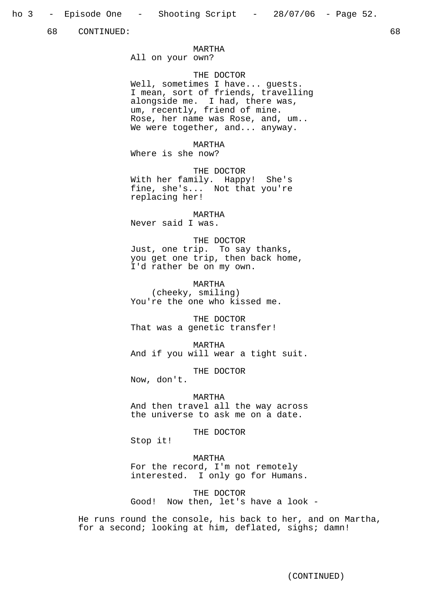ho 3 - Episode One - Shooting Script - 28/07/06 - Page 52.

68 CONTINUED: 68

#### MARTHA

All on your own?

## THE DOCTOR

Well, sometimes I have... guests. I mean, sort of friends, travelling alongside me. I had, there was, um, recently, friend of mine. Rose, her name was Rose, and, um.. We were together, and... anyway.

MARTHA

Where is she now?

THE DOCTOR With her family. Happy! She's fine, she's... Not that you're replacing her!

MARTHA

Never said I was.

## THE DOCTOR

Just, one trip. To say thanks, you get one trip, then back home, I'd rather be on my own.

MARTHA (cheeky, smiling) You're the one who kissed me.

THE DOCTOR That was a genetic transfer!

MARTHA And if you will wear a tight suit.

THE DOCTOR

Now, don't.

MARTHA And then travel all the way across the universe to ask me on a date.

THE DOCTOR

Stop it!

## MARTHA

For the record, I'm not remotely interested. I only go for Humans.

THE DOCTOR Good! Now then, let's have a look -

He runs round the console, his back to her, and on Martha, for a second; looking at him, deflated, sighs; damn!